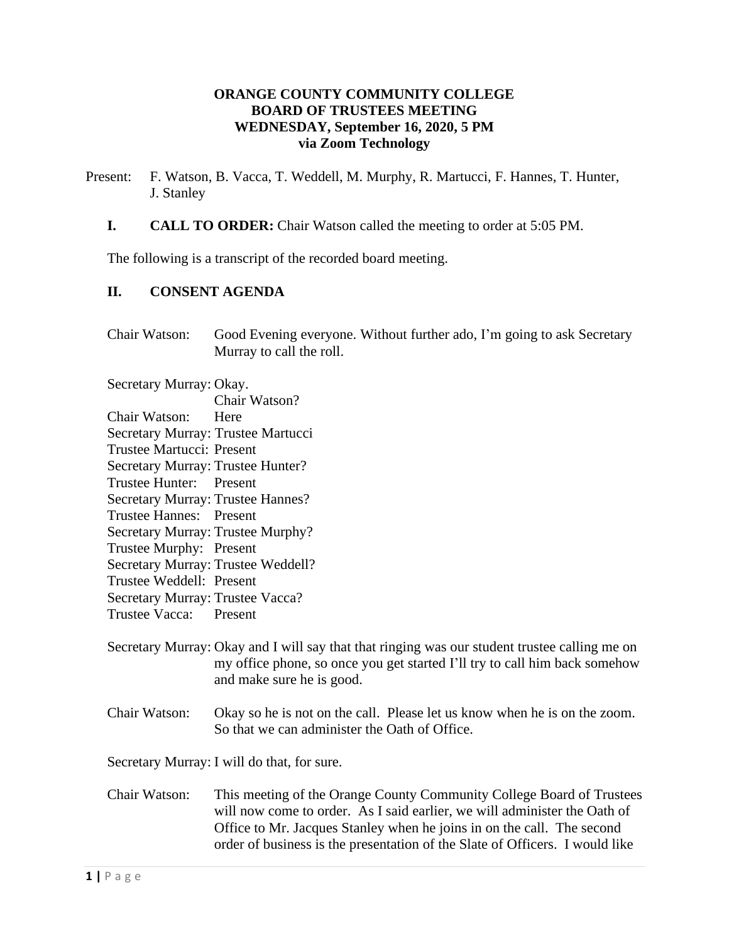#### **ORANGE COUNTY COMMUNITY COLLEGE BOARD OF TRUSTEES MEETING WEDNESDAY, September 16, 2020, 5 PM via Zoom Technology**

- Present: F. Watson, B. Vacca, T. Weddell, M. Murphy, R. Martucci, F. Hannes, T. Hunter, J. Stanley
	- **I. CALL TO ORDER:** Chair Watson called the meeting to order at 5:05 PM.

The following is a transcript of the recorded board meeting.

# **II. CONSENT AGENDA**

Chair Watson: Good Evening everyone. Without further ado, I'm going to ask Secretary Murray to call the roll.

Secretary Murray: Okay.

Chair Watson? Chair Watson: Here Secretary Murray: Trustee Martucci Trustee Martucci: Present Secretary Murray: Trustee Hunter? Trustee Hunter: Present Secretary Murray: Trustee Hannes? Trustee Hannes: Present Secretary Murray: Trustee Murphy? Trustee Murphy: Present Secretary Murray: Trustee Weddell? Trustee Weddell: Present Secretary Murray: Trustee Vacca? Trustee Vacca: Present

- Secretary Murray: Okay and I will say that that ringing was our student trustee calling me on my office phone, so once you get started I'll try to call him back somehow and make sure he is good.
- Chair Watson: Okay so he is not on the call. Please let us know when he is on the zoom. So that we can administer the Oath of Office.

Secretary Murray: I will do that, for sure.

Chair Watson: This meeting of the Orange County Community College Board of Trustees will now come to order. As I said earlier, we will administer the Oath of Office to Mr. Jacques Stanley when he joins in on the call. The second order of business is the presentation of the Slate of Officers. I would like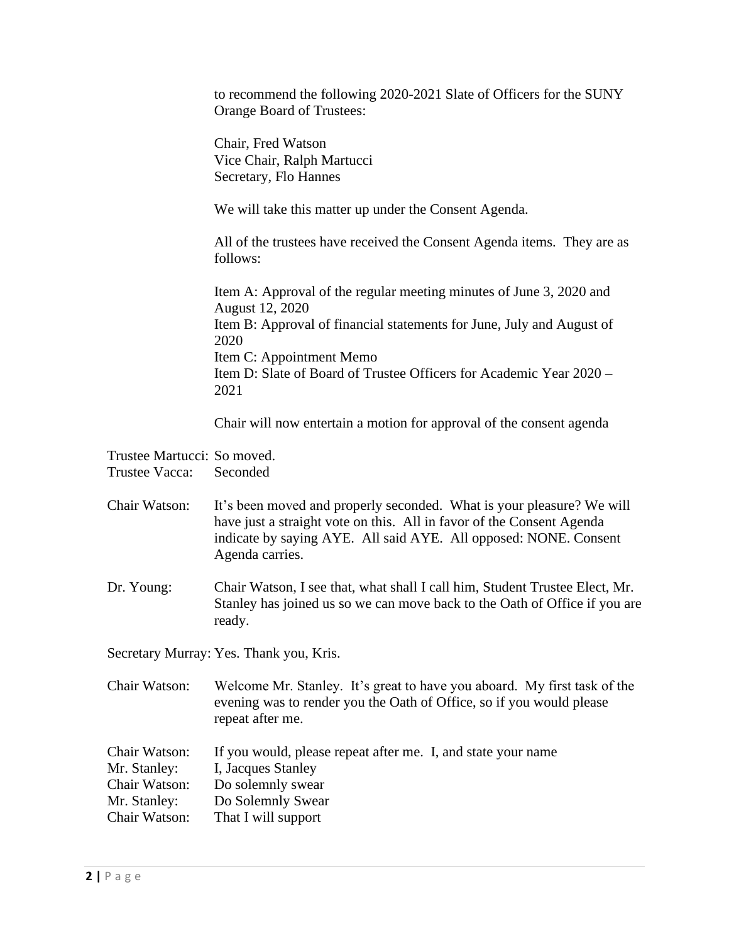to recommend the following 2020-2021 Slate of Officers for the SUNY Orange Board of Trustees:

Chair, Fred Watson Vice Chair, Ralph Martucci Secretary, Flo Hannes

We will take this matter up under the Consent Agenda.

All of the trustees have received the Consent Agenda items. They are as follows:

Item A: Approval of the regular meeting minutes of June 3, 2020 and August 12, 2020 Item B: Approval of financial statements for June, July and August of 2020 Item C: Appointment Memo Item D: Slate of Board of Trustee Officers for Academic Year 2020 – 2021

Chair will now entertain a motion for approval of the consent agenda

Trustee Martucci: So moved.

Trustee Vacca: Seconded

Chair Watson: It's been moved and properly seconded. What is your pleasure? We will have just a straight vote on this. All in favor of the Consent Agenda indicate by saying AYE. All said AYE. All opposed: NONE. Consent Agenda carries.

Dr. Young: Chair Watson, I see that, what shall I call him, Student Trustee Elect, Mr. Stanley has joined us so we can move back to the Oath of Office if you are ready.

Secretary Murray: Yes. Thank you, Kris.

Chair Watson: Welcome Mr. Stanley. It's great to have you aboard. My first task of the evening was to render you the Oath of Office, so if you would please repeat after me.

| Chair Watson: | If you would, please repeat after me. I, and state your name |  |
|---------------|--------------------------------------------------------------|--|
| Mr. Stanley:  | I, Jacques Stanley                                           |  |
| Chair Watson: | Do solemnly swear                                            |  |
| Mr. Stanley:  | Do Solemnly Swear                                            |  |
| Chair Watson: | That I will support                                          |  |
|               |                                                              |  |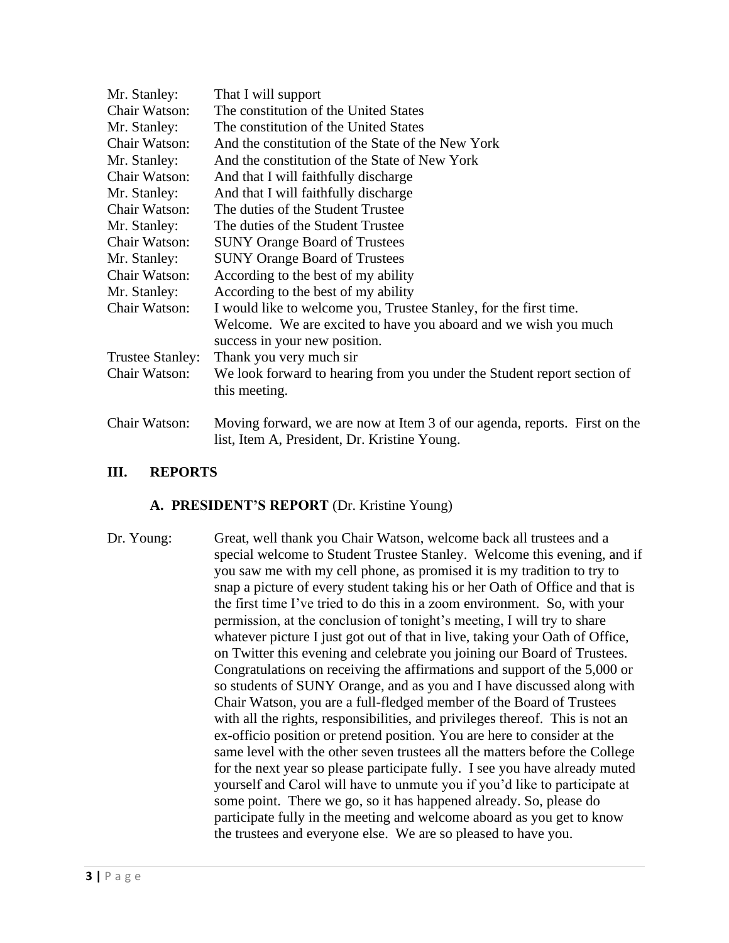| Mr. Stanley:            | That I will support                                                                                                       |
|-------------------------|---------------------------------------------------------------------------------------------------------------------------|
| Chair Watson:           | The constitution of the United States                                                                                     |
| Mr. Stanley:            | The constitution of the United States                                                                                     |
| Chair Watson:           | And the constitution of the State of the New York                                                                         |
| Mr. Stanley:            | And the constitution of the State of New York                                                                             |
| Chair Watson:           | And that I will faithfully discharge                                                                                      |
| Mr. Stanley:            | And that I will faithfully discharge                                                                                      |
| Chair Watson:           | The duties of the Student Trustee                                                                                         |
| Mr. Stanley:            | The duties of the Student Trustee                                                                                         |
| Chair Watson:           | <b>SUNY Orange Board of Trustees</b>                                                                                      |
| Mr. Stanley:            | <b>SUNY Orange Board of Trustees</b>                                                                                      |
| Chair Watson:           | According to the best of my ability                                                                                       |
| Mr. Stanley:            | According to the best of my ability                                                                                       |
| Chair Watson:           | I would like to welcome you, Trustee Stanley, for the first time.                                                         |
|                         | Welcome. We are excited to have you aboard and we wish you much<br>success in your new position.                          |
| <b>Trustee Stanley:</b> | Thank you very much sir                                                                                                   |
| Chair Watson:           | We look forward to hearing from you under the Student report section of                                                   |
|                         | this meeting.                                                                                                             |
| Chair Watson:           | Moving forward, we are now at Item 3 of our agenda, reports. First on the<br>list, Item A, President, Dr. Kristine Young. |

# **III. REPORTS**

# **A. PRESIDENT'S REPORT** (Dr. Kristine Young)

Dr. Young: Great, well thank you Chair Watson, welcome back all trustees and a special welcome to Student Trustee Stanley. Welcome this evening, and if you saw me with my cell phone, as promised it is my tradition to try to snap a picture of every student taking his or her Oath of Office and that is the first time I've tried to do this in a zoom environment. So, with your permission, at the conclusion of tonight's meeting, I will try to share whatever picture I just got out of that in live, taking your Oath of Office, on Twitter this evening and celebrate you joining our Board of Trustees. Congratulations on receiving the affirmations and support of the 5,000 or so students of SUNY Orange, and as you and I have discussed along with Chair Watson, you are a full-fledged member of the Board of Trustees with all the rights, responsibilities, and privileges thereof. This is not an ex-officio position or pretend position. You are here to consider at the same level with the other seven trustees all the matters before the College for the next year so please participate fully. I see you have already muted yourself and Carol will have to unmute you if you'd like to participate at some point. There we go, so it has happened already. So, please do participate fully in the meeting and welcome aboard as you get to know the trustees and everyone else. We are so pleased to have you.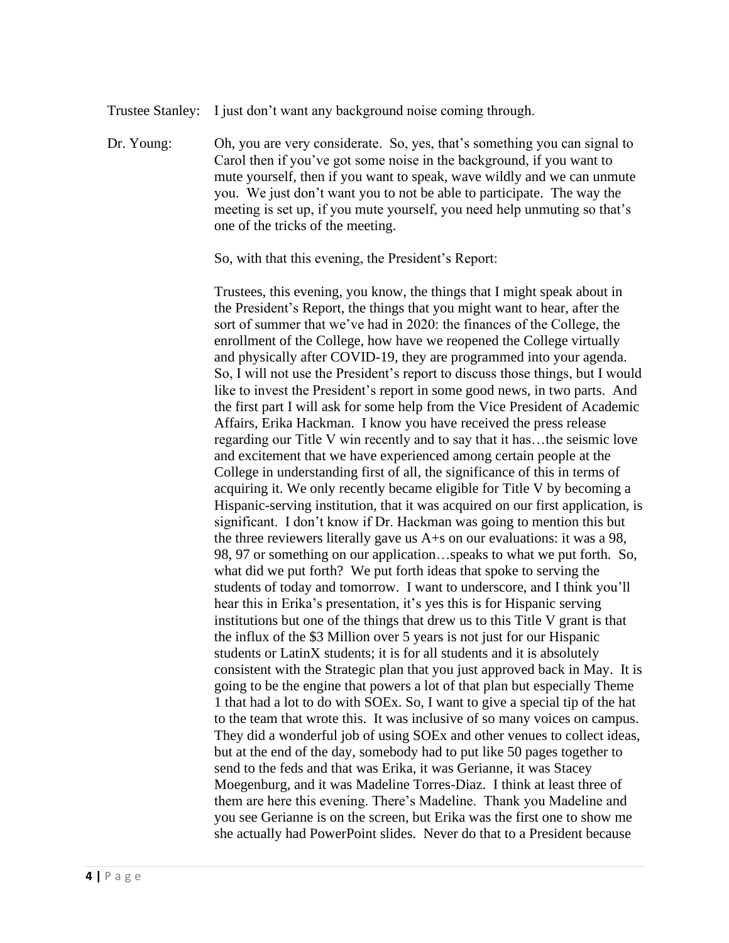Trustee Stanley: I just don't want any background noise coming through.

Dr. Young: Oh, you are very considerate. So, yes, that's something you can signal to Carol then if you've got some noise in the background, if you want to mute yourself, then if you want to speak, wave wildly and we can unmute you. We just don't want you to not be able to participate. The way the meeting is set up, if you mute yourself, you need help unmuting so that's one of the tricks of the meeting.

So, with that this evening, the President's Report:

Trustees, this evening, you know, the things that I might speak about in the President's Report, the things that you might want to hear, after the sort of summer that we've had in 2020: the finances of the College, the enrollment of the College, how have we reopened the College virtually and physically after COVID-19, they are programmed into your agenda. So, I will not use the President's report to discuss those things, but I would like to invest the President's report in some good news, in two parts. And the first part I will ask for some help from the Vice President of Academic Affairs, Erika Hackman. I know you have received the press release regarding our Title V win recently and to say that it has…the seismic love and excitement that we have experienced among certain people at the College in understanding first of all, the significance of this in terms of acquiring it. We only recently became eligible for Title V by becoming a Hispanic-serving institution, that it was acquired on our first application, is significant. I don't know if Dr. Hackman was going to mention this but the three reviewers literally gave us A+s on our evaluations: it was a 98, 98, 97 or something on our application…speaks to what we put forth. So, what did we put forth? We put forth ideas that spoke to serving the students of today and tomorrow. I want to underscore, and I think you'll hear this in Erika's presentation, it's yes this is for Hispanic serving institutions but one of the things that drew us to this Title V grant is that the influx of the \$3 Million over 5 years is not just for our Hispanic students or LatinX students; it is for all students and it is absolutely consistent with the Strategic plan that you just approved back in May. It is going to be the engine that powers a lot of that plan but especially Theme 1 that had a lot to do with SOEx. So, I want to give a special tip of the hat to the team that wrote this. It was inclusive of so many voices on campus. They did a wonderful job of using SOEx and other venues to collect ideas, but at the end of the day, somebody had to put like 50 pages together to send to the feds and that was Erika, it was Gerianne, it was Stacey Moegenburg, and it was Madeline Torres-Diaz. I think at least three of them are here this evening. There's Madeline. Thank you Madeline and you see Gerianne is on the screen, but Erika was the first one to show me she actually had PowerPoint slides. Never do that to a President because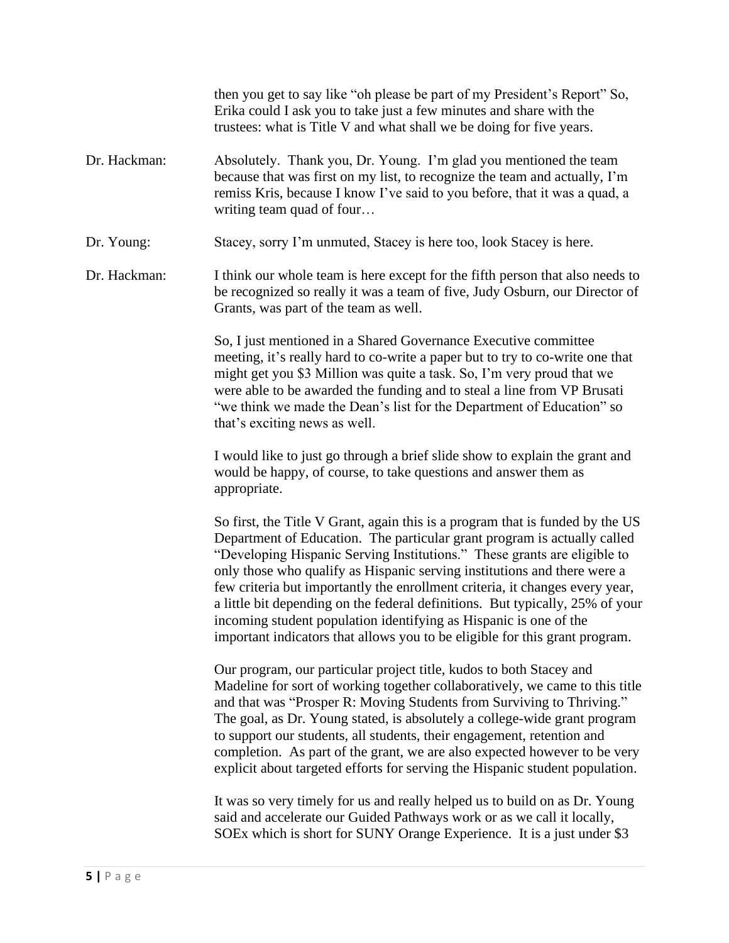|              | then you get to say like "oh please be part of my President's Report" So,<br>Erika could I ask you to take just a few minutes and share with the<br>trustees: what is Title V and what shall we be doing for five years.                                                                                                                                                                                                                                                                                                                                                                                                               |
|--------------|----------------------------------------------------------------------------------------------------------------------------------------------------------------------------------------------------------------------------------------------------------------------------------------------------------------------------------------------------------------------------------------------------------------------------------------------------------------------------------------------------------------------------------------------------------------------------------------------------------------------------------------|
| Dr. Hackman: | Absolutely. Thank you, Dr. Young. I'm glad you mentioned the team<br>because that was first on my list, to recognize the team and actually, I'm<br>remiss Kris, because I know I've said to you before, that it was a quad, a<br>writing team quad of four                                                                                                                                                                                                                                                                                                                                                                             |
| Dr. Young:   | Stacey, sorry I'm unmuted, Stacey is here too, look Stacey is here.                                                                                                                                                                                                                                                                                                                                                                                                                                                                                                                                                                    |
| Dr. Hackman: | I think our whole team is here except for the fifth person that also needs to<br>be recognized so really it was a team of five, Judy Osburn, our Director of<br>Grants, was part of the team as well.                                                                                                                                                                                                                                                                                                                                                                                                                                  |
|              | So, I just mentioned in a Shared Governance Executive committee<br>meeting, it's really hard to co-write a paper but to try to co-write one that<br>might get you \$3 Million was quite a task. So, I'm very proud that we<br>were able to be awarded the funding and to steal a line from VP Brusati<br>"we think we made the Dean's list for the Department of Education" so<br>that's exciting news as well.                                                                                                                                                                                                                        |
|              | I would like to just go through a brief slide show to explain the grant and<br>would be happy, of course, to take questions and answer them as<br>appropriate.                                                                                                                                                                                                                                                                                                                                                                                                                                                                         |
|              | So first, the Title V Grant, again this is a program that is funded by the US<br>Department of Education. The particular grant program is actually called<br>"Developing Hispanic Serving Institutions." These grants are eligible to<br>only those who qualify as Hispanic serving institutions and there were a<br>few criteria but importantly the enrollment criteria, it changes every year,<br>a little bit depending on the federal definitions. But typically, 25% of your<br>incoming student population identifying as Hispanic is one of the<br>important indicators that allows you to be eligible for this grant program. |
|              | Our program, our particular project title, kudos to both Stacey and<br>Madeline for sort of working together collaboratively, we came to this title<br>and that was "Prosper R: Moving Students from Surviving to Thriving."<br>The goal, as Dr. Young stated, is absolutely a college-wide grant program<br>to support our students, all students, their engagement, retention and<br>completion. As part of the grant, we are also expected however to be very<br>explicit about targeted efforts for serving the Hispanic student population.                                                                                       |
|              | It was so very timely for us and really helped us to build on as Dr. Young<br>said and accelerate our Guided Pathways work or as we call it locally,<br>SOEx which is short for SUNY Orange Experience. It is a just under \$3                                                                                                                                                                                                                                                                                                                                                                                                         |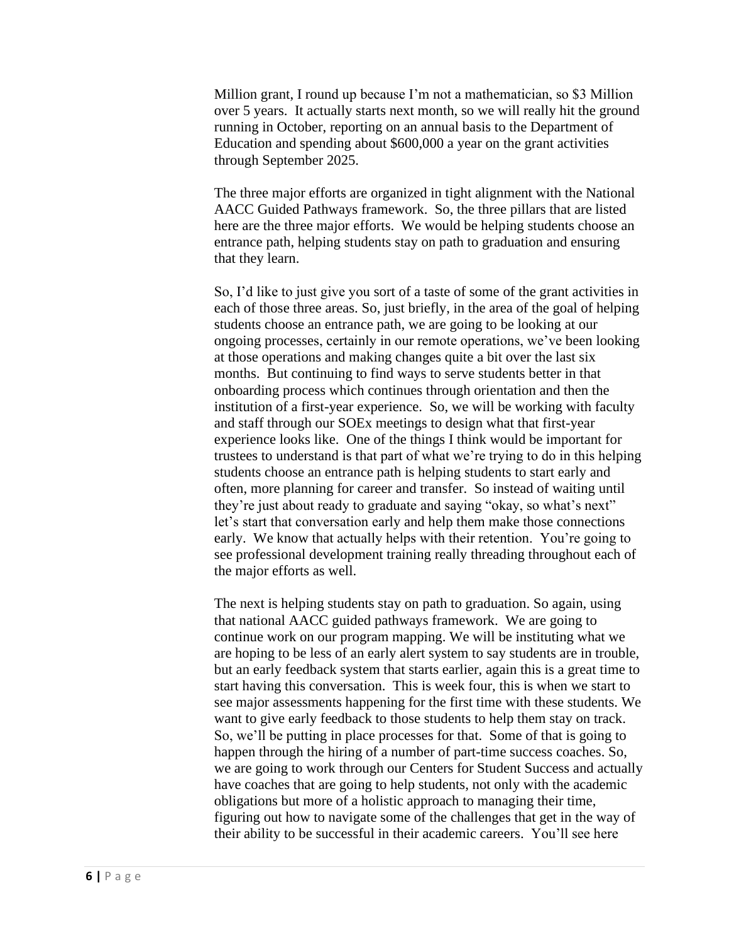Million grant, I round up because I'm not a mathematician, so \$3 Million over 5 years. It actually starts next month, so we will really hit the ground running in October, reporting on an annual basis to the Department of Education and spending about \$600,000 a year on the grant activities through September 2025.

The three major efforts are organized in tight alignment with the National AACC Guided Pathways framework. So, the three pillars that are listed here are the three major efforts. We would be helping students choose an entrance path, helping students stay on path to graduation and ensuring that they learn.

So, I'd like to just give you sort of a taste of some of the grant activities in each of those three areas. So, just briefly, in the area of the goal of helping students choose an entrance path, we are going to be looking at our ongoing processes, certainly in our remote operations, we've been looking at those operations and making changes quite a bit over the last six months. But continuing to find ways to serve students better in that onboarding process which continues through orientation and then the institution of a first-year experience. So, we will be working with faculty and staff through our SOEx meetings to design what that first-year experience looks like. One of the things I think would be important for trustees to understand is that part of what we're trying to do in this helping students choose an entrance path is helping students to start early and often, more planning for career and transfer. So instead of waiting until they're just about ready to graduate and saying "okay, so what's next" let's start that conversation early and help them make those connections early. We know that actually helps with their retention. You're going to see professional development training really threading throughout each of the major efforts as well.

The next is helping students stay on path to graduation. So again, using that national AACC guided pathways framework. We are going to continue work on our program mapping. We will be instituting what we are hoping to be less of an early alert system to say students are in trouble, but an early feedback system that starts earlier, again this is a great time to start having this conversation. This is week four, this is when we start to see major assessments happening for the first time with these students. We want to give early feedback to those students to help them stay on track. So, we'll be putting in place processes for that. Some of that is going to happen through the hiring of a number of part-time success coaches. So, we are going to work through our Centers for Student Success and actually have coaches that are going to help students, not only with the academic obligations but more of a holistic approach to managing their time, figuring out how to navigate some of the challenges that get in the way of their ability to be successful in their academic careers. You'll see here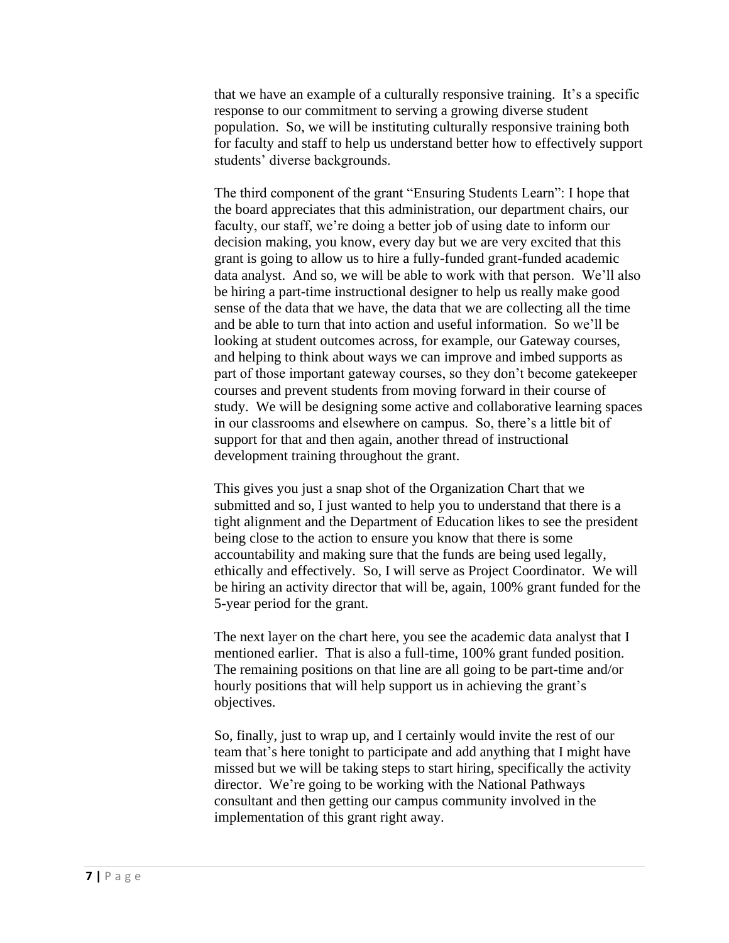that we have an example of a culturally responsive training. It's a specific response to our commitment to serving a growing diverse student population. So, we will be instituting culturally responsive training both for faculty and staff to help us understand better how to effectively support students' diverse backgrounds.

The third component of the grant "Ensuring Students Learn": I hope that the board appreciates that this administration, our department chairs, our faculty, our staff, we're doing a better job of using date to inform our decision making, you know, every day but we are very excited that this grant is going to allow us to hire a fully-funded grant-funded academic data analyst. And so, we will be able to work with that person. We'll also be hiring a part-time instructional designer to help us really make good sense of the data that we have, the data that we are collecting all the time and be able to turn that into action and useful information. So we'll be looking at student outcomes across, for example, our Gateway courses, and helping to think about ways we can improve and imbed supports as part of those important gateway courses, so they don't become gatekeeper courses and prevent students from moving forward in their course of study. We will be designing some active and collaborative learning spaces in our classrooms and elsewhere on campus. So, there's a little bit of support for that and then again, another thread of instructional development training throughout the grant.

This gives you just a snap shot of the Organization Chart that we submitted and so, I just wanted to help you to understand that there is a tight alignment and the Department of Education likes to see the president being close to the action to ensure you know that there is some accountability and making sure that the funds are being used legally, ethically and effectively. So, I will serve as Project Coordinator. We will be hiring an activity director that will be, again, 100% grant funded for the 5-year period for the grant.

The next layer on the chart here, you see the academic data analyst that I mentioned earlier. That is also a full-time, 100% grant funded position. The remaining positions on that line are all going to be part-time and/or hourly positions that will help support us in achieving the grant's objectives.

So, finally, just to wrap up, and I certainly would invite the rest of our team that's here tonight to participate and add anything that I might have missed but we will be taking steps to start hiring, specifically the activity director. We're going to be working with the National Pathways consultant and then getting our campus community involved in the implementation of this grant right away.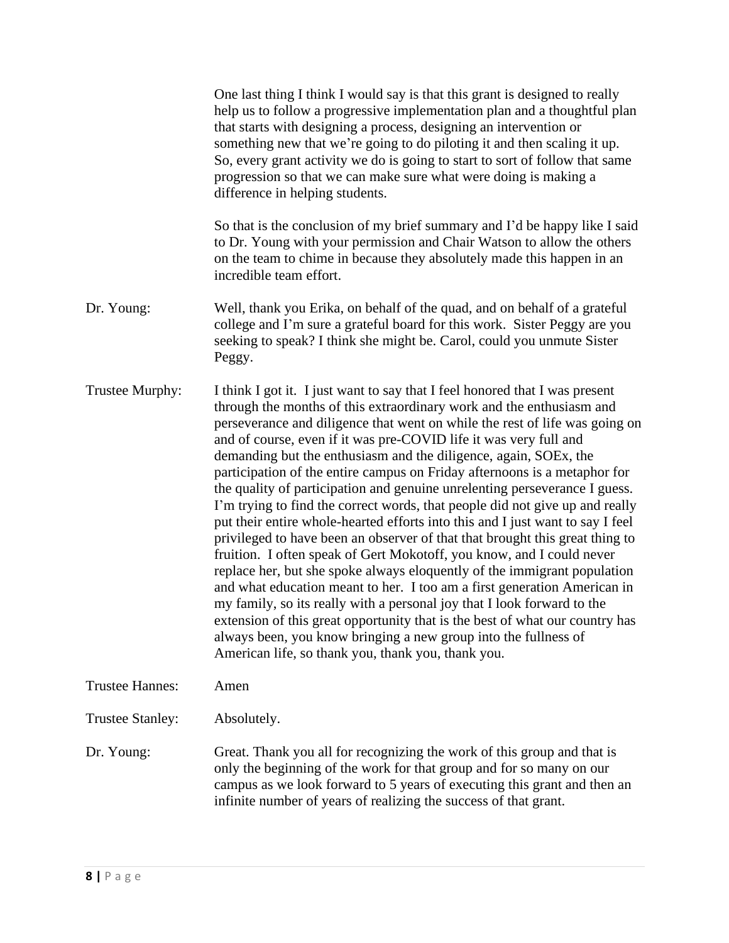|                         | One last thing I think I would say is that this grant is designed to really<br>help us to follow a progressive implementation plan and a thoughtful plan<br>that starts with designing a process, designing an intervention or<br>something new that we're going to do piloting it and then scaling it up.<br>So, every grant activity we do is going to start to sort of follow that same<br>progression so that we can make sure what were doing is making a<br>difference in helping students.                                                                                                                                                                                                                                                                                                                                                                                                                                                                                                                                                                                                                                                                                                                                                                                                             |
|-------------------------|---------------------------------------------------------------------------------------------------------------------------------------------------------------------------------------------------------------------------------------------------------------------------------------------------------------------------------------------------------------------------------------------------------------------------------------------------------------------------------------------------------------------------------------------------------------------------------------------------------------------------------------------------------------------------------------------------------------------------------------------------------------------------------------------------------------------------------------------------------------------------------------------------------------------------------------------------------------------------------------------------------------------------------------------------------------------------------------------------------------------------------------------------------------------------------------------------------------------------------------------------------------------------------------------------------------|
|                         | So that is the conclusion of my brief summary and I'd be happy like I said<br>to Dr. Young with your permission and Chair Watson to allow the others<br>on the team to chime in because they absolutely made this happen in an<br>incredible team effort.                                                                                                                                                                                                                                                                                                                                                                                                                                                                                                                                                                                                                                                                                                                                                                                                                                                                                                                                                                                                                                                     |
| Dr. Young:              | Well, thank you Erika, on behalf of the quad, and on behalf of a grateful<br>college and I'm sure a grateful board for this work. Sister Peggy are you<br>seeking to speak? I think she might be. Carol, could you unmute Sister<br>Peggy.                                                                                                                                                                                                                                                                                                                                                                                                                                                                                                                                                                                                                                                                                                                                                                                                                                                                                                                                                                                                                                                                    |
| Trustee Murphy:         | I think I got it. I just want to say that I feel honored that I was present<br>through the months of this extraordinary work and the enthusiasm and<br>perseverance and diligence that went on while the rest of life was going on<br>and of course, even if it was pre-COVID life it was very full and<br>demanding but the enthusiasm and the diligence, again, SOEx, the<br>participation of the entire campus on Friday afternoons is a metaphor for<br>the quality of participation and genuine unrelenting perseverance I guess.<br>I'm trying to find the correct words, that people did not give up and really<br>put their entire whole-hearted efforts into this and I just want to say I feel<br>privileged to have been an observer of that that brought this great thing to<br>fruition. I often speak of Gert Mokotoff, you know, and I could never<br>replace her, but she spoke always eloquently of the immigrant population<br>and what education meant to her. I too am a first generation American in<br>my family, so its really with a personal joy that I look forward to the<br>extension of this great opportunity that is the best of what our country has<br>always been, you know bringing a new group into the fullness of<br>American life, so thank you, thank you, thank you. |
| <b>Trustee Hannes:</b>  | Amen                                                                                                                                                                                                                                                                                                                                                                                                                                                                                                                                                                                                                                                                                                                                                                                                                                                                                                                                                                                                                                                                                                                                                                                                                                                                                                          |
| <b>Trustee Stanley:</b> | Absolutely.                                                                                                                                                                                                                                                                                                                                                                                                                                                                                                                                                                                                                                                                                                                                                                                                                                                                                                                                                                                                                                                                                                                                                                                                                                                                                                   |
| Dr. Young:              | Great. Thank you all for recognizing the work of this group and that is<br>only the beginning of the work for that group and for so many on our<br>campus as we look forward to 5 years of executing this grant and then an<br>infinite number of years of realizing the success of that grant.                                                                                                                                                                                                                                                                                                                                                                                                                                                                                                                                                                                                                                                                                                                                                                                                                                                                                                                                                                                                               |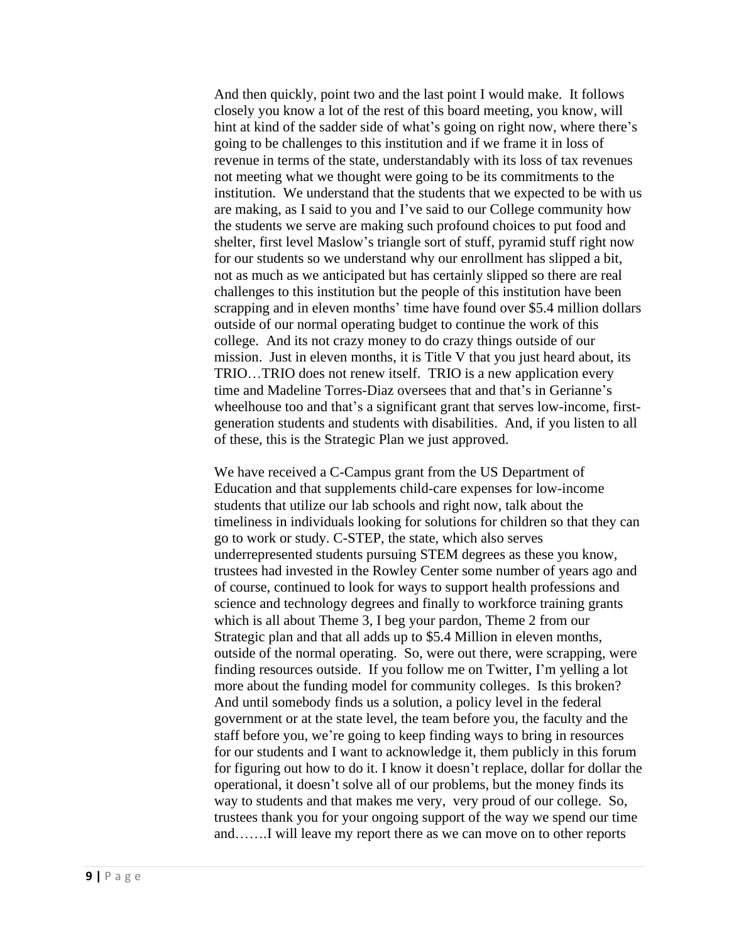And then quickly, point two and the last point I would make. It follows closely you know a lot of the rest of this board meeting, you know, will hint at kind of the sadder side of what's going on right now, where there's going to be challenges to this institution and if we frame it in loss of revenue in terms of the state, understandably with its loss of tax revenues not meeting what we thought were going to be its commitments to the institution. We understand that the students that we expected to be with us are making, as I said to you and I've said to our College community how the students we serve are making such profound choices to put food and shelter, first level Maslow's triangle sort of stuff, pyramid stuff right now for our students so we understand why our enrollment has slipped a bit, not as much as we anticipated but has certainly slipped so there are real challenges to this institution but the people of this institution have been scrapping and in eleven months' time have found over \$5.4 million dollars outside of our normal operating budget to continue the work of this college. And its not crazy money to do crazy things outside of our mission. Just in eleven months, it is Title V that you just heard about, its TRIO…TRIO does not renew itself. TRIO is a new application every time and Madeline Torres-Diaz oversees that and that's in Gerianne's wheelhouse too and that's a significant grant that serves low-income, firstgeneration students and students with disabilities. And, if you listen to all of these, this is the Strategic Plan we just approved.

We have received a C-Campus grant from the US Department of Education and that supplements child-care expenses for low-income students that utilize our lab schools and right now, talk about the timeliness in individuals looking for solutions for children so that they can go to work or study. C-STEP, the state, which also serves underrepresented students pursuing STEM degrees as these you know, trustees had invested in the Rowley Center some number of years ago and of course, continued to look for ways to support health professions and science and technology degrees and finally to workforce training grants which is all about Theme 3, I beg your pardon, Theme 2 from our Strategic plan and that all adds up to \$5.4 Million in eleven months, outside of the normal operating. So, were out there, were scrapping, were finding resources outside. If you follow me on Twitter, I'm yelling a lot more about the funding model for community colleges. Is this broken? And until somebody finds us a solution, a policy level in the federal government or at the state level, the team before you, the faculty and the staff before you, we're going to keep finding ways to bring in resources for our students and I want to acknowledge it, them publicly in this forum for figuring out how to do it. I know it doesn't replace, dollar for dollar the operational, it doesn't solve all of our problems, but the money finds its way to students and that makes me very, very proud of our college. So, trustees thank you for your ongoing support of the way we spend our time and…….I will leave my report there as we can move on to other reports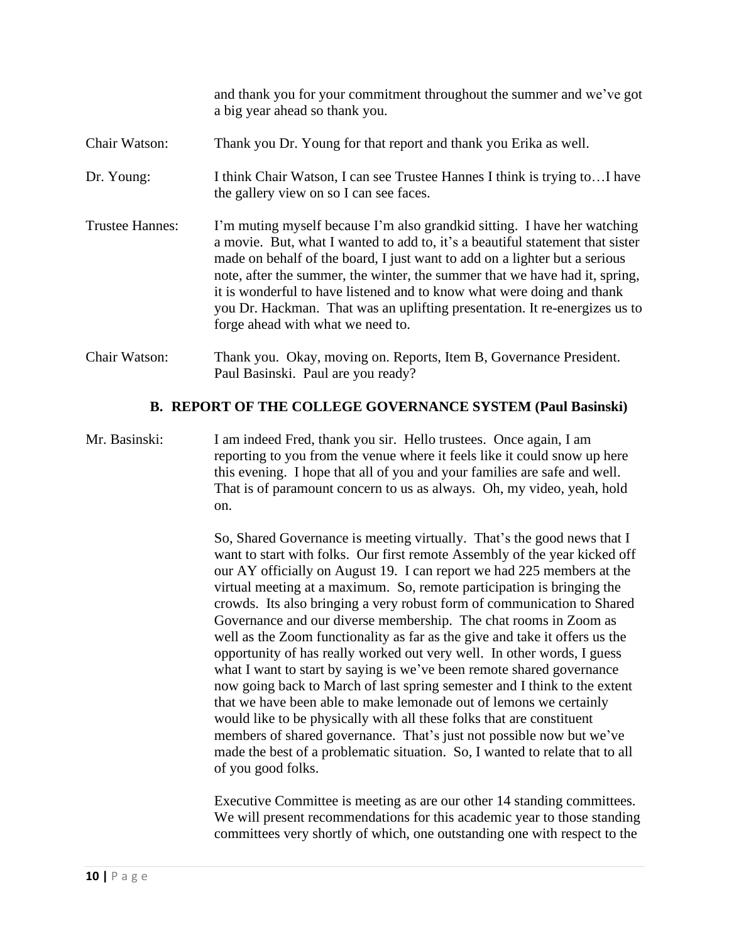|                        | and thank you for your commitment throughout the summer and we've got<br>a big year ahead so thank you.                                                                                                                                                                                                                                                                                                                                                                                                             |
|------------------------|---------------------------------------------------------------------------------------------------------------------------------------------------------------------------------------------------------------------------------------------------------------------------------------------------------------------------------------------------------------------------------------------------------------------------------------------------------------------------------------------------------------------|
| Chair Watson:          | Thank you Dr. Young for that report and thank you Erika as well.                                                                                                                                                                                                                                                                                                                                                                                                                                                    |
| Dr. Young:             | I think Chair Watson, I can see Trustee Hannes I think is trying toI have<br>the gallery view on so I can see faces.                                                                                                                                                                                                                                                                                                                                                                                                |
| <b>Trustee Hannes:</b> | I'm muting myself because I'm also grandkid sitting. I have her watching<br>a movie. But, what I wanted to add to, it's a beautiful statement that sister<br>made on behalf of the board, I just want to add on a lighter but a serious<br>note, after the summer, the winter, the summer that we have had it, spring,<br>it is wonderful to have listened and to know what were doing and thank<br>you Dr. Hackman. That was an uplifting presentation. It re-energizes us to<br>forge ahead with what we need to. |
| Chair Watson:          | Thank you. Okay, moving on. Reports, Item B, Governance President.<br>Paul Basinski. Paul are you ready?                                                                                                                                                                                                                                                                                                                                                                                                            |

#### **B. REPORT OF THE COLLEGE GOVERNANCE SYSTEM (Paul Basinski)**

Mr. Basinski: I am indeed Fred, thank you sir. Hello trustees. Once again, I am reporting to you from the venue where it feels like it could snow up here this evening. I hope that all of you and your families are safe and well. That is of paramount concern to us as always. Oh, my video, yeah, hold on.

> So, Shared Governance is meeting virtually. That's the good news that I want to start with folks. Our first remote Assembly of the year kicked off our AY officially on August 19. I can report we had 225 members at the virtual meeting at a maximum. So, remote participation is bringing the crowds. Its also bringing a very robust form of communication to Shared Governance and our diverse membership. The chat rooms in Zoom as well as the Zoom functionality as far as the give and take it offers us the opportunity of has really worked out very well. In other words, I guess what I want to start by saying is we've been remote shared governance now going back to March of last spring semester and I think to the extent that we have been able to make lemonade out of lemons we certainly would like to be physically with all these folks that are constituent members of shared governance. That's just not possible now but we've made the best of a problematic situation. So, I wanted to relate that to all of you good folks.

> Executive Committee is meeting as are our other 14 standing committees. We will present recommendations for this academic year to those standing committees very shortly of which, one outstanding one with respect to the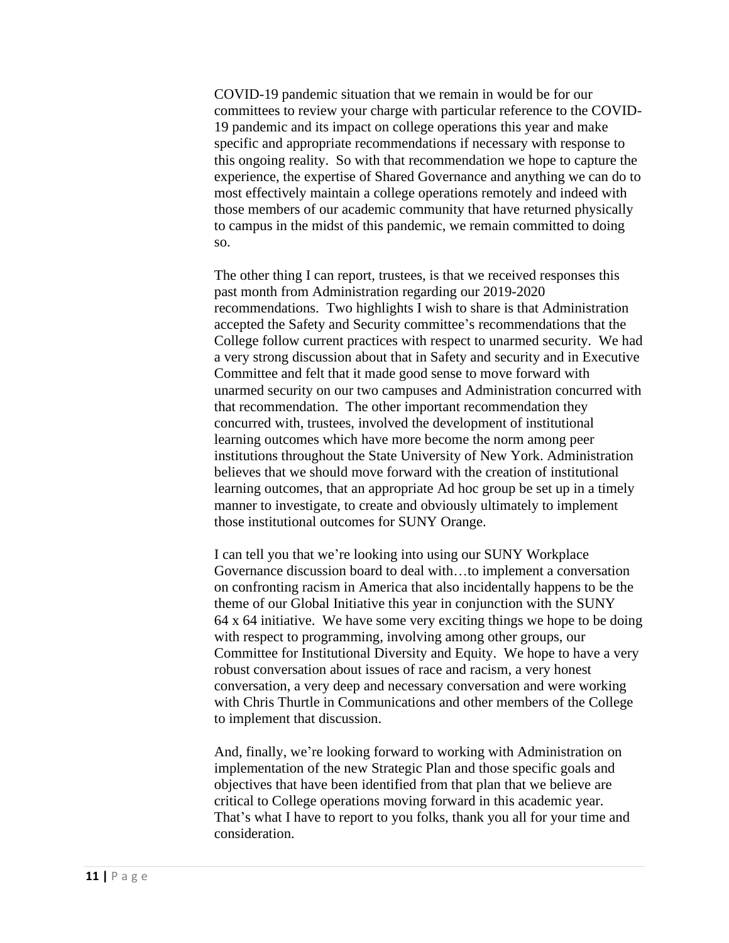COVID-19 pandemic situation that we remain in would be for our committees to review your charge with particular reference to the COVID-19 pandemic and its impact on college operations this year and make specific and appropriate recommendations if necessary with response to this ongoing reality. So with that recommendation we hope to capture the experience, the expertise of Shared Governance and anything we can do to most effectively maintain a college operations remotely and indeed with those members of our academic community that have returned physically to campus in the midst of this pandemic, we remain committed to doing so.

The other thing I can report, trustees, is that we received responses this past month from Administration regarding our 2019-2020 recommendations. Two highlights I wish to share is that Administration accepted the Safety and Security committee's recommendations that the College follow current practices with respect to unarmed security. We had a very strong discussion about that in Safety and security and in Executive Committee and felt that it made good sense to move forward with unarmed security on our two campuses and Administration concurred with that recommendation. The other important recommendation they concurred with, trustees, involved the development of institutional learning outcomes which have more become the norm among peer institutions throughout the State University of New York. Administration believes that we should move forward with the creation of institutional learning outcomes, that an appropriate Ad hoc group be set up in a timely manner to investigate, to create and obviously ultimately to implement those institutional outcomes for SUNY Orange.

I can tell you that we're looking into using our SUNY Workplace Governance discussion board to deal with…to implement a conversation on confronting racism in America that also incidentally happens to be the theme of our Global Initiative this year in conjunction with the SUNY 64 x 64 initiative. We have some very exciting things we hope to be doing with respect to programming, involving among other groups, our Committee for Institutional Diversity and Equity. We hope to have a very robust conversation about issues of race and racism, a very honest conversation, a very deep and necessary conversation and were working with Chris Thurtle in Communications and other members of the College to implement that discussion.

And, finally, we're looking forward to working with Administration on implementation of the new Strategic Plan and those specific goals and objectives that have been identified from that plan that we believe are critical to College operations moving forward in this academic year. That's what I have to report to you folks, thank you all for your time and consideration.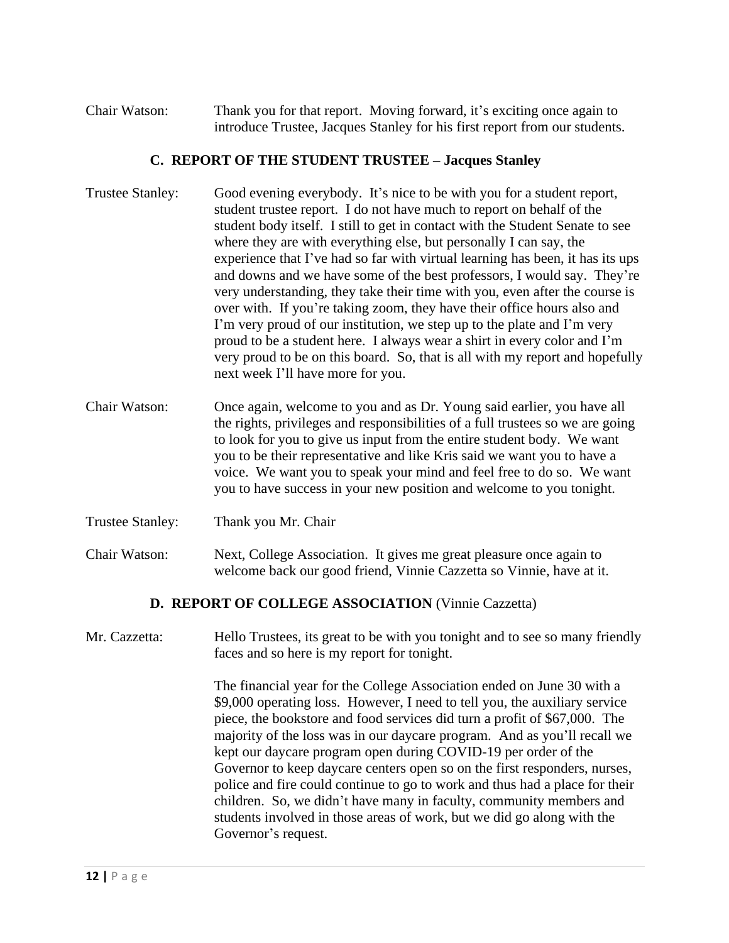Chair Watson: Thank you for that report. Moving forward, it's exciting once again to introduce Trustee, Jacques Stanley for his first report from our students.

#### **C. REPORT OF THE STUDENT TRUSTEE – Jacques Stanley**

- Trustee Stanley: Good evening everybody. It's nice to be with you for a student report, student trustee report. I do not have much to report on behalf of the student body itself. I still to get in contact with the Student Senate to see where they are with everything else, but personally I can say, the experience that I've had so far with virtual learning has been, it has its ups and downs and we have some of the best professors, I would say. They're very understanding, they take their time with you, even after the course is over with. If you're taking zoom, they have their office hours also and I'm very proud of our institution, we step up to the plate and I'm very proud to be a student here. I always wear a shirt in every color and I'm very proud to be on this board. So, that is all with my report and hopefully next week I'll have more for you.
- Chair Watson: Once again, welcome to you and as Dr. Young said earlier, you have all the rights, privileges and responsibilities of a full trustees so we are going to look for you to give us input from the entire student body. We want you to be their representative and like Kris said we want you to have a voice. We want you to speak your mind and feel free to do so. We want you to have success in your new position and welcome to you tonight.
- Trustee Stanley: Thank you Mr. Chair
- Chair Watson: Next, College Association. It gives me great pleasure once again to welcome back our good friend, Vinnie Cazzetta so Vinnie, have at it.

# **D. REPORT OF COLLEGE ASSOCIATION** (Vinnie Cazzetta)

Mr. Cazzetta: Hello Trustees, its great to be with you tonight and to see so many friendly faces and so here is my report for tonight.

> The financial year for the College Association ended on June 30 with a \$9,000 operating loss. However, I need to tell you, the auxiliary service piece, the bookstore and food services did turn a profit of \$67,000. The majority of the loss was in our daycare program. And as you'll recall we kept our daycare program open during COVID-19 per order of the Governor to keep daycare centers open so on the first responders, nurses, police and fire could continue to go to work and thus had a place for their children. So, we didn't have many in faculty, community members and students involved in those areas of work, but we did go along with the Governor's request.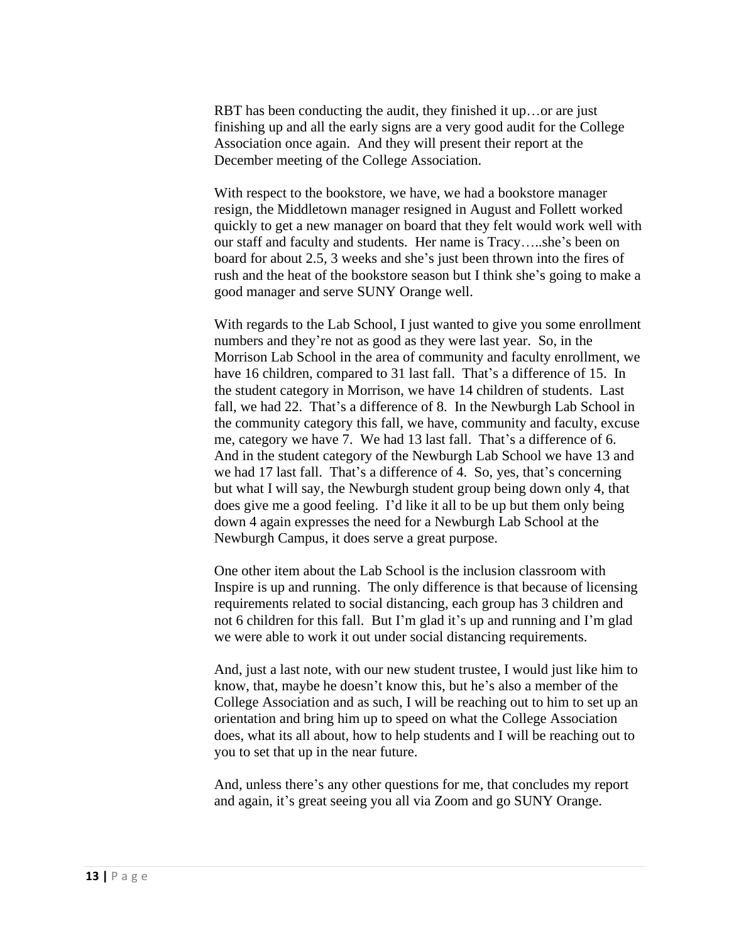RBT has been conducting the audit, they finished it up...or are just finishing up and all the early signs are a very good audit for the College Association once again. And they will present their report at the December meeting of the College Association.

With respect to the bookstore, we have, we had a bookstore manager resign, the Middletown manager resigned in August and Follett worked quickly to get a new manager on board that they felt would work well with our staff and faculty and students. Her name is Tracy…..she's been on board for about 2.5, 3 weeks and she's just been thrown into the fires of rush and the heat of the bookstore season but I think she's going to make a good manager and serve SUNY Orange well.

With regards to the Lab School, I just wanted to give you some enrollment numbers and they're not as good as they were last year. So, in the Morrison Lab School in the area of community and faculty enrollment, we have 16 children, compared to 31 last fall. That's a difference of 15. In the student category in Morrison, we have 14 children of students. Last fall, we had 22. That's a difference of 8. In the Newburgh Lab School in the community category this fall, we have, community and faculty, excuse me, category we have 7. We had 13 last fall. That's a difference of 6. And in the student category of the Newburgh Lab School we have 13 and we had 17 last fall. That's a difference of 4. So, yes, that's concerning but what I will say, the Newburgh student group being down only 4, that does give me a good feeling. I'd like it all to be up but them only being down 4 again expresses the need for a Newburgh Lab School at the Newburgh Campus, it does serve a great purpose.

One other item about the Lab School is the inclusion classroom with Inspire is up and running. The only difference is that because of licensing requirements related to social distancing, each group has 3 children and not 6 children for this fall. But I'm glad it's up and running and I'm glad we were able to work it out under social distancing requirements.

And, just a last note, with our new student trustee, I would just like him to know, that, maybe he doesn't know this, but he's also a member of the College Association and as such, I will be reaching out to him to set up an orientation and bring him up to speed on what the College Association does, what its all about, how to help students and I will be reaching out to you to set that up in the near future.

And, unless there's any other questions for me, that concludes my report and again, it's great seeing you all via Zoom and go SUNY Orange.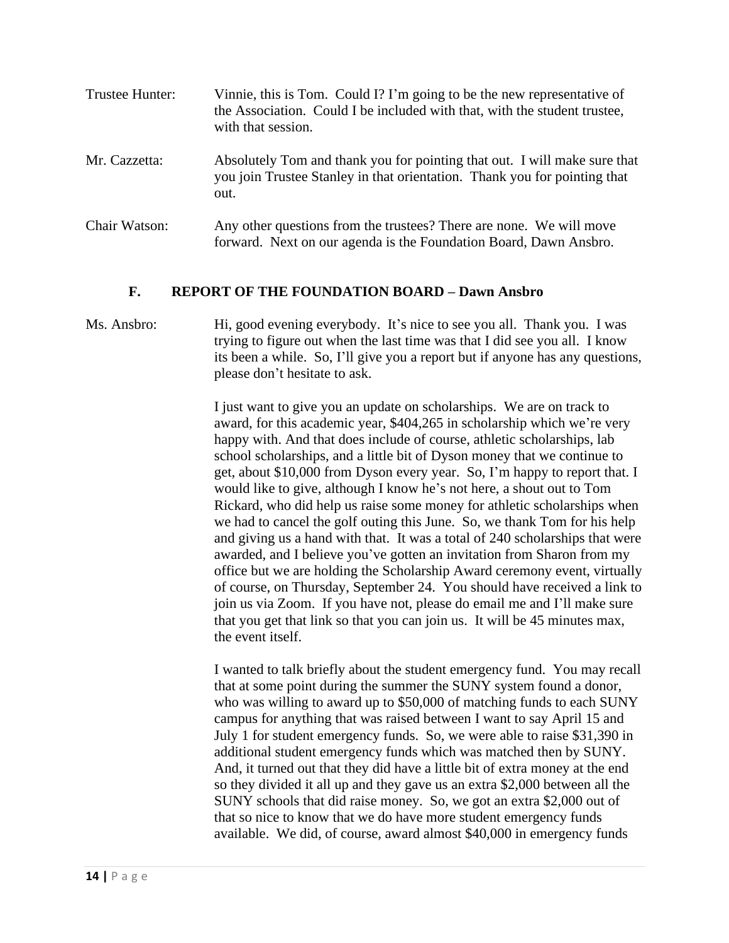| Trustee Hunter: | Vinnie, this is Tom. Could I? I'm going to be the new representative of<br>the Association. Could I be included with that, with the student trustee,<br>with that session. |
|-----------------|----------------------------------------------------------------------------------------------------------------------------------------------------------------------------|
| Mr. Cazzetta:   | Absolutely Tom and thank you for pointing that out. I will make sure that<br>you join Trustee Stanley in that orientation. Thank you for pointing that<br>out.             |
| Chair Watson:   | Any other questions from the trustees? There are none. We will move<br>forward. Next on our agenda is the Foundation Board, Dawn Ansbro.                                   |

#### **F. REPORT OF THE FOUNDATION BOARD – Dawn Ansbro**

# Ms. Ansbro: Hi, good evening everybody. It's nice to see you all. Thank you. I was trying to figure out when the last time was that I did see you all. I know its been a while. So, I'll give you a report but if anyone has any questions, please don't hesitate to ask.

I just want to give you an update on scholarships. We are on track to award, for this academic year, \$404,265 in scholarship which we're very happy with. And that does include of course, athletic scholarships, lab school scholarships, and a little bit of Dyson money that we continue to get, about \$10,000 from Dyson every year. So, I'm happy to report that. I would like to give, although I know he's not here, a shout out to Tom Rickard, who did help us raise some money for athletic scholarships when we had to cancel the golf outing this June. So, we thank Tom for his help and giving us a hand with that. It was a total of 240 scholarships that were awarded, and I believe you've gotten an invitation from Sharon from my office but we are holding the Scholarship Award ceremony event, virtually of course, on Thursday, September 24. You should have received a link to join us via Zoom. If you have not, please do email me and I'll make sure that you get that link so that you can join us. It will be 45 minutes max, the event itself.

I wanted to talk briefly about the student emergency fund. You may recall that at some point during the summer the SUNY system found a donor, who was willing to award up to \$50,000 of matching funds to each SUNY campus for anything that was raised between I want to say April 15 and July 1 for student emergency funds. So, we were able to raise \$31,390 in additional student emergency funds which was matched then by SUNY. And, it turned out that they did have a little bit of extra money at the end so they divided it all up and they gave us an extra \$2,000 between all the SUNY schools that did raise money. So, we got an extra \$2,000 out of that so nice to know that we do have more student emergency funds available. We did, of course, award almost \$40,000 in emergency funds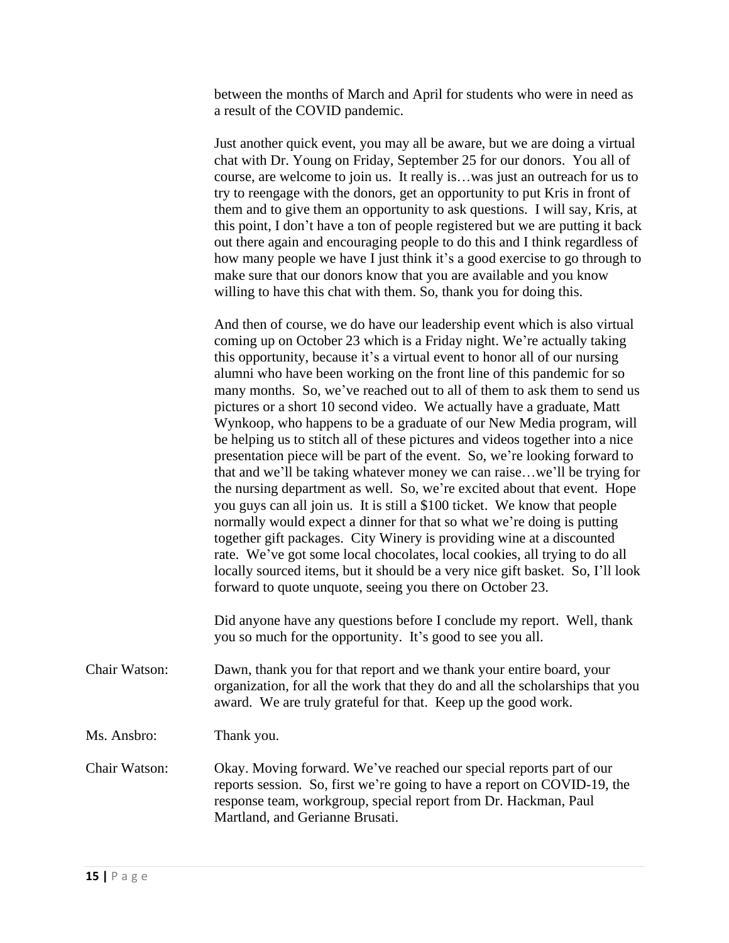between the months of March and April for students who were in need as a result of the COVID pandemic.

Just another quick event, you may all be aware, but we are doing a virtual chat with Dr. Young on Friday, September 25 for our donors. You all of course, are welcome to join us. It really is…was just an outreach for us to try to reengage with the donors, get an opportunity to put Kris in front of them and to give them an opportunity to ask questions. I will say, Kris, at this point, I don't have a ton of people registered but we are putting it back out there again and encouraging people to do this and I think regardless of how many people we have I just think it's a good exercise to go through to make sure that our donors know that you are available and you know willing to have this chat with them. So, thank you for doing this.

And then of course, we do have our leadership event which is also virtual coming up on October 23 which is a Friday night. We're actually taking this opportunity, because it's a virtual event to honor all of our nursing alumni who have been working on the front line of this pandemic for so many months. So, we've reached out to all of them to ask them to send us pictures or a short 10 second video. We actually have a graduate, Matt Wynkoop, who happens to be a graduate of our New Media program, will be helping us to stitch all of these pictures and videos together into a nice presentation piece will be part of the event. So, we're looking forward to that and we'll be taking whatever money we can raise…we'll be trying for the nursing department as well. So, we're excited about that event. Hope you guys can all join us. It is still a \$100 ticket. We know that people normally would expect a dinner for that so what we're doing is putting together gift packages. City Winery is providing wine at a discounted rate. We've got some local chocolates, local cookies, all trying to do all locally sourced items, but it should be a very nice gift basket. So, I'll look forward to quote unquote, seeing you there on October 23.

Did anyone have any questions before I conclude my report. Well, thank you so much for the opportunity. It's good to see you all.

Chair Watson: Dawn, thank you for that report and we thank your entire board, your organization, for all the work that they do and all the scholarships that you award. We are truly grateful for that. Keep up the good work.

Ms. Ansbro: Thank you.

Chair Watson: Okay. Moving forward. We've reached our special reports part of our reports session. So, first we're going to have a report on COVID-19, the response team, workgroup, special report from Dr. Hackman, Paul Martland, and Gerianne Brusati.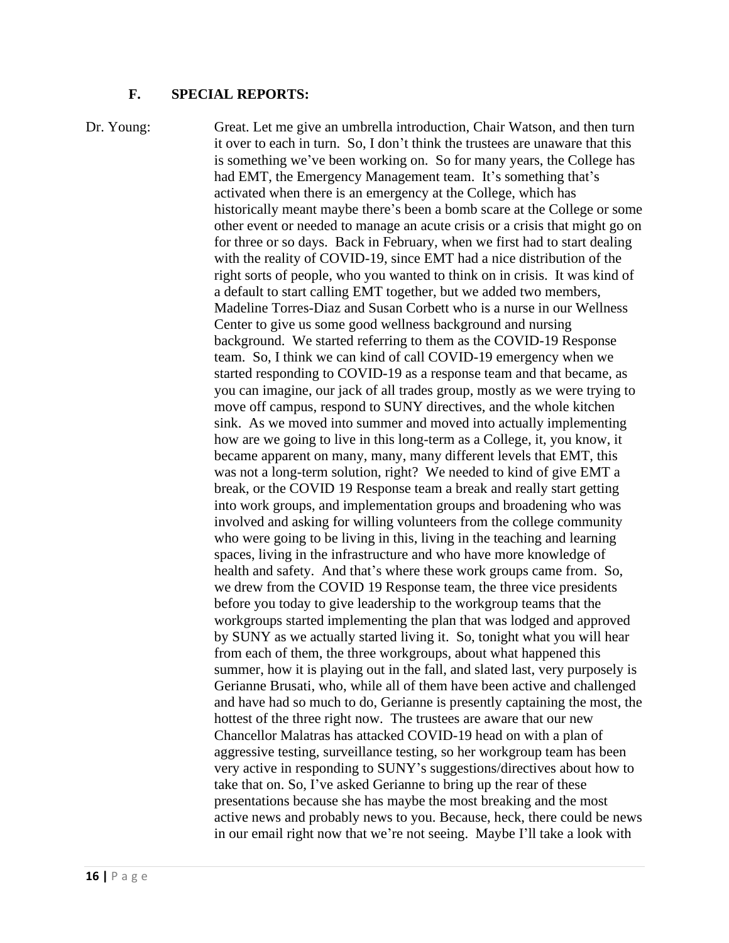#### **F. SPECIAL REPORTS:**

Dr. Young: Great. Let me give an umbrella introduction, Chair Watson, and then turn it over to each in turn. So, I don't think the trustees are unaware that this is something we've been working on. So for many years, the College has had EMT, the Emergency Management team. It's something that's activated when there is an emergency at the College, which has historically meant maybe there's been a bomb scare at the College or some other event or needed to manage an acute crisis or a crisis that might go on for three or so days. Back in February, when we first had to start dealing with the reality of COVID-19, since EMT had a nice distribution of the right sorts of people, who you wanted to think on in crisis. It was kind of a default to start calling EMT together, but we added two members, Madeline Torres-Diaz and Susan Corbett who is a nurse in our Wellness Center to give us some good wellness background and nursing background. We started referring to them as the COVID-19 Response team. So, I think we can kind of call COVID-19 emergency when we started responding to COVID-19 as a response team and that became, as you can imagine, our jack of all trades group, mostly as we were trying to move off campus, respond to SUNY directives, and the whole kitchen sink. As we moved into summer and moved into actually implementing how are we going to live in this long-term as a College, it, you know, it became apparent on many, many, many different levels that EMT, this was not a long-term solution, right? We needed to kind of give EMT a break, or the COVID 19 Response team a break and really start getting into work groups, and implementation groups and broadening who was involved and asking for willing volunteers from the college community who were going to be living in this, living in the teaching and learning spaces, living in the infrastructure and who have more knowledge of health and safety. And that's where these work groups came from. So, we drew from the COVID 19 Response team, the three vice presidents before you today to give leadership to the workgroup teams that the workgroups started implementing the plan that was lodged and approved by SUNY as we actually started living it. So, tonight what you will hear from each of them, the three workgroups, about what happened this summer, how it is playing out in the fall, and slated last, very purposely is Gerianne Brusati, who, while all of them have been active and challenged and have had so much to do, Gerianne is presently captaining the most, the hottest of the three right now. The trustees are aware that our new Chancellor Malatras has attacked COVID-19 head on with a plan of aggressive testing, surveillance testing, so her workgroup team has been very active in responding to SUNY's suggestions/directives about how to take that on. So, I've asked Gerianne to bring up the rear of these presentations because she has maybe the most breaking and the most active news and probably news to you. Because, heck, there could be news in our email right now that we're not seeing. Maybe I'll take a look with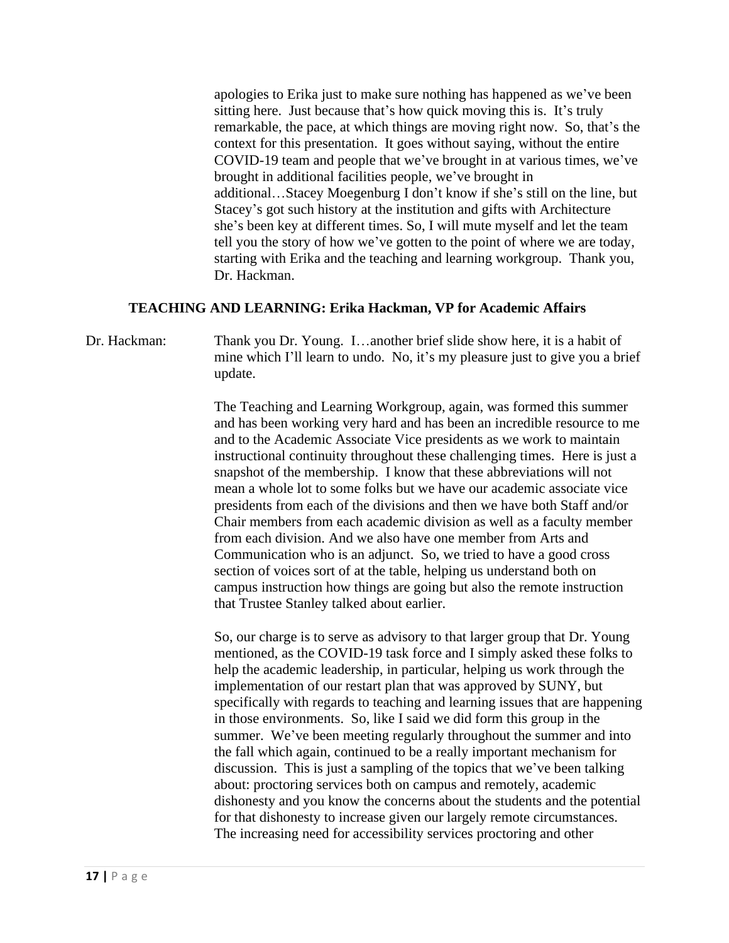apologies to Erika just to make sure nothing has happened as we've been sitting here. Just because that's how quick moving this is. It's truly remarkable, the pace, at which things are moving right now. So, that's the context for this presentation. It goes without saying, without the entire COVID-19 team and people that we've brought in at various times, we've brought in additional facilities people, we've brought in additional…Stacey Moegenburg I don't know if she's still on the line, but Stacey's got such history at the institution and gifts with Architecture she's been key at different times. So, I will mute myself and let the team tell you the story of how we've gotten to the point of where we are today, starting with Erika and the teaching and learning workgroup. Thank you, Dr. Hackman.

#### **TEACHING AND LEARNING: Erika Hackman, VP for Academic Affairs**

Dr. Hackman: Thank you Dr. Young. I…another brief slide show here, it is a habit of mine which I'll learn to undo. No, it's my pleasure just to give you a brief update.

> The Teaching and Learning Workgroup, again, was formed this summer and has been working very hard and has been an incredible resource to me and to the Academic Associate Vice presidents as we work to maintain instructional continuity throughout these challenging times. Here is just a snapshot of the membership. I know that these abbreviations will not mean a whole lot to some folks but we have our academic associate vice presidents from each of the divisions and then we have both Staff and/or Chair members from each academic division as well as a faculty member from each division. And we also have one member from Arts and Communication who is an adjunct. So, we tried to have a good cross section of voices sort of at the table, helping us understand both on campus instruction how things are going but also the remote instruction that Trustee Stanley talked about earlier.

> So, our charge is to serve as advisory to that larger group that Dr. Young mentioned, as the COVID-19 task force and I simply asked these folks to help the academic leadership, in particular, helping us work through the implementation of our restart plan that was approved by SUNY, but specifically with regards to teaching and learning issues that are happening in those environments. So, like I said we did form this group in the summer. We've been meeting regularly throughout the summer and into the fall which again, continued to be a really important mechanism for discussion. This is just a sampling of the topics that we've been talking about: proctoring services both on campus and remotely, academic dishonesty and you know the concerns about the students and the potential for that dishonesty to increase given our largely remote circumstances. The increasing need for accessibility services proctoring and other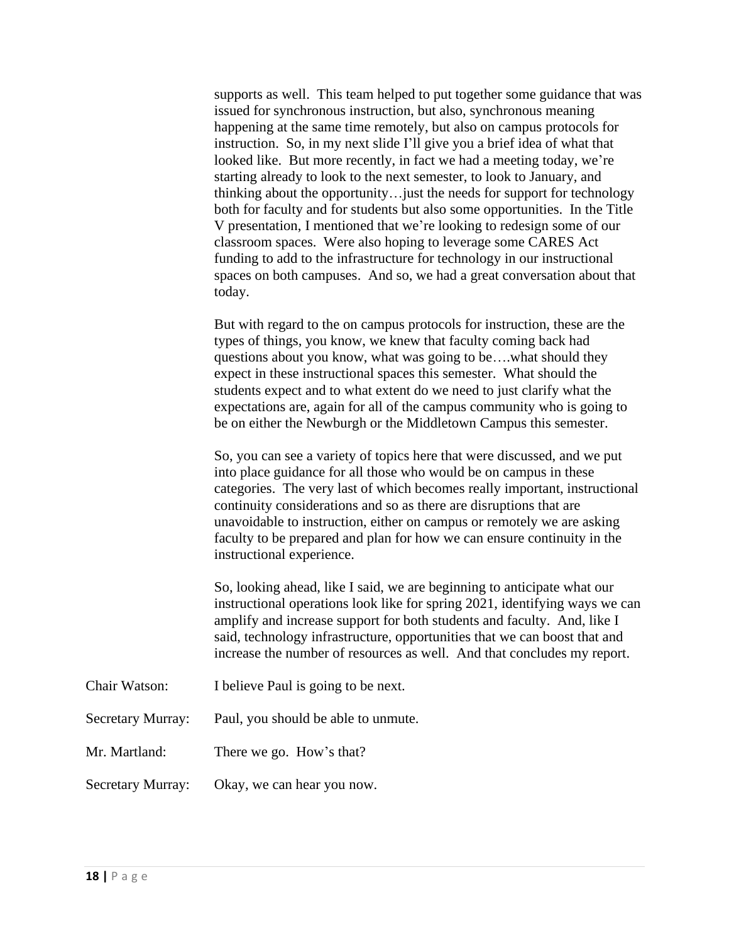supports as well. This team helped to put together some guidance that was issued for synchronous instruction, but also, synchronous meaning happening at the same time remotely, but also on campus protocols for instruction. So, in my next slide I'll give you a brief idea of what that looked like. But more recently, in fact we had a meeting today, we're starting already to look to the next semester, to look to January, and thinking about the opportunity…just the needs for support for technology both for faculty and for students but also some opportunities. In the Title V presentation, I mentioned that we're looking to redesign some of our classroom spaces. Were also hoping to leverage some CARES Act funding to add to the infrastructure for technology in our instructional spaces on both campuses. And so, we had a great conversation about that today.

But with regard to the on campus protocols for instruction, these are the types of things, you know, we knew that faculty coming back had questions about you know, what was going to be….what should they expect in these instructional spaces this semester. What should the students expect and to what extent do we need to just clarify what the expectations are, again for all of the campus community who is going to be on either the Newburgh or the Middletown Campus this semester.

So, you can see a variety of topics here that were discussed, and we put into place guidance for all those who would be on campus in these categories. The very last of which becomes really important, instructional continuity considerations and so as there are disruptions that are unavoidable to instruction, either on campus or remotely we are asking faculty to be prepared and plan for how we can ensure continuity in the instructional experience.

So, looking ahead, like I said, we are beginning to anticipate what our instructional operations look like for spring 2021, identifying ways we can amplify and increase support for both students and faculty. And, like I said, technology infrastructure, opportunities that we can boost that and increase the number of resources as well. And that concludes my report.

- Chair Watson: I believe Paul is going to be next.
- Secretary Murray: Paul, you should be able to unmute.
- Mr. Martland: There we go. How's that?
- Secretary Murray: Okay, we can hear you now.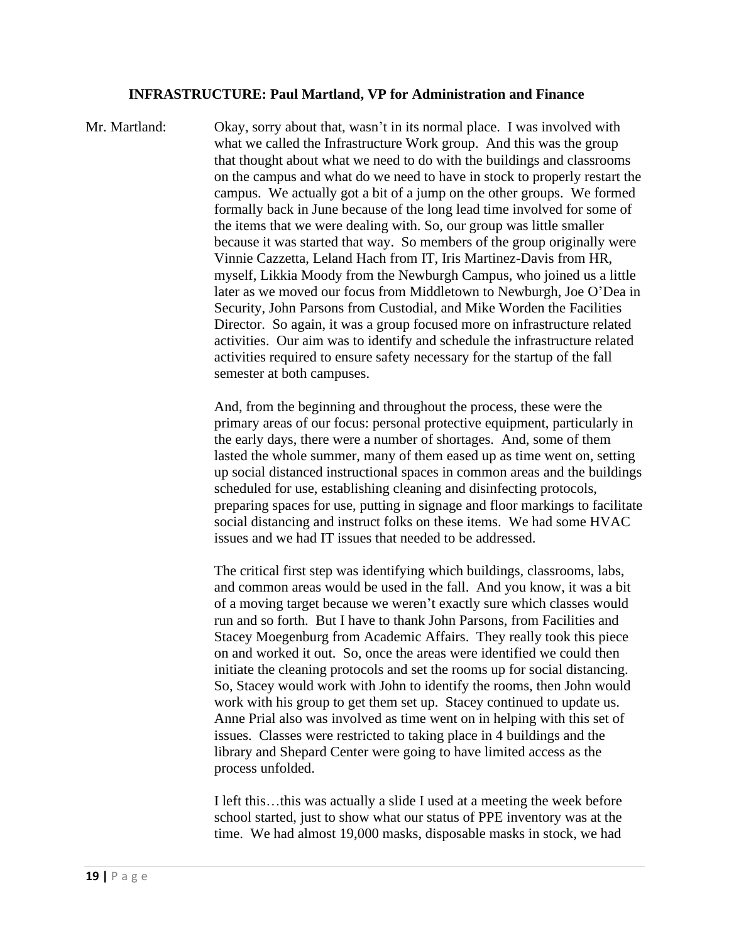#### **INFRASTRUCTURE: Paul Martland, VP for Administration and Finance**

Mr. Martland: Okay, sorry about that, wasn't in its normal place. I was involved with what we called the Infrastructure Work group. And this was the group that thought about what we need to do with the buildings and classrooms on the campus and what do we need to have in stock to properly restart the campus. We actually got a bit of a jump on the other groups. We formed formally back in June because of the long lead time involved for some of the items that we were dealing with. So, our group was little smaller because it was started that way. So members of the group originally were Vinnie Cazzetta, Leland Hach from IT, Iris Martinez-Davis from HR, myself, Likkia Moody from the Newburgh Campus, who joined us a little later as we moved our focus from Middletown to Newburgh, Joe O'Dea in Security, John Parsons from Custodial, and Mike Worden the Facilities Director. So again, it was a group focused more on infrastructure related activities. Our aim was to identify and schedule the infrastructure related activities required to ensure safety necessary for the startup of the fall semester at both campuses.

> And, from the beginning and throughout the process, these were the primary areas of our focus: personal protective equipment, particularly in the early days, there were a number of shortages. And, some of them lasted the whole summer, many of them eased up as time went on, setting up social distanced instructional spaces in common areas and the buildings scheduled for use, establishing cleaning and disinfecting protocols, preparing spaces for use, putting in signage and floor markings to facilitate social distancing and instruct folks on these items. We had some HVAC issues and we had IT issues that needed to be addressed.

The critical first step was identifying which buildings, classrooms, labs, and common areas would be used in the fall. And you know, it was a bit of a moving target because we weren't exactly sure which classes would run and so forth. But I have to thank John Parsons, from Facilities and Stacey Moegenburg from Academic Affairs. They really took this piece on and worked it out. So, once the areas were identified we could then initiate the cleaning protocols and set the rooms up for social distancing. So, Stacey would work with John to identify the rooms, then John would work with his group to get them set up. Stacey continued to update us. Anne Prial also was involved as time went on in helping with this set of issues. Classes were restricted to taking place in 4 buildings and the library and Shepard Center were going to have limited access as the process unfolded.

I left this…this was actually a slide I used at a meeting the week before school started, just to show what our status of PPE inventory was at the time. We had almost 19,000 masks, disposable masks in stock, we had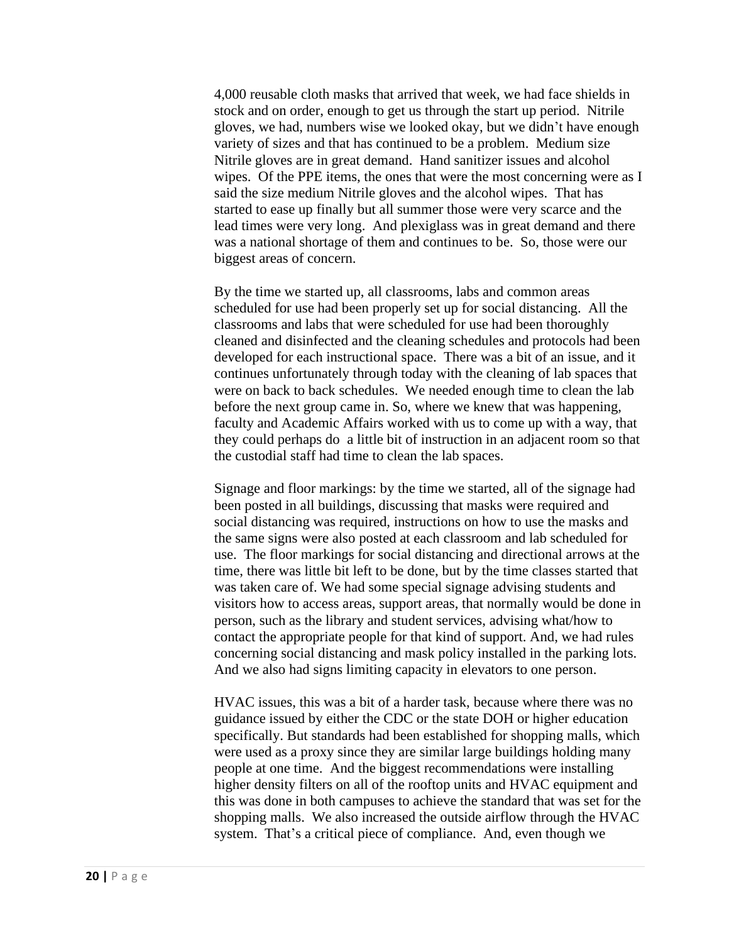4,000 reusable cloth masks that arrived that week, we had face shields in stock and on order, enough to get us through the start up period. Nitrile gloves, we had, numbers wise we looked okay, but we didn't have enough variety of sizes and that has continued to be a problem. Medium size Nitrile gloves are in great demand. Hand sanitizer issues and alcohol wipes. Of the PPE items, the ones that were the most concerning were as I said the size medium Nitrile gloves and the alcohol wipes. That has started to ease up finally but all summer those were very scarce and the lead times were very long. And plexiglass was in great demand and there was a national shortage of them and continues to be. So, those were our biggest areas of concern.

By the time we started up, all classrooms, labs and common areas scheduled for use had been properly set up for social distancing. All the classrooms and labs that were scheduled for use had been thoroughly cleaned and disinfected and the cleaning schedules and protocols had been developed for each instructional space. There was a bit of an issue, and it continues unfortunately through today with the cleaning of lab spaces that were on back to back schedules. We needed enough time to clean the lab before the next group came in. So, where we knew that was happening, faculty and Academic Affairs worked with us to come up with a way, that they could perhaps do a little bit of instruction in an adjacent room so that the custodial staff had time to clean the lab spaces.

Signage and floor markings: by the time we started, all of the signage had been posted in all buildings, discussing that masks were required and social distancing was required, instructions on how to use the masks and the same signs were also posted at each classroom and lab scheduled for use. The floor markings for social distancing and directional arrows at the time, there was little bit left to be done, but by the time classes started that was taken care of. We had some special signage advising students and visitors how to access areas, support areas, that normally would be done in person, such as the library and student services, advising what/how to contact the appropriate people for that kind of support. And, we had rules concerning social distancing and mask policy installed in the parking lots. And we also had signs limiting capacity in elevators to one person.

HVAC issues, this was a bit of a harder task, because where there was no guidance issued by either the CDC or the state DOH or higher education specifically. But standards had been established for shopping malls, which were used as a proxy since they are similar large buildings holding many people at one time. And the biggest recommendations were installing higher density filters on all of the rooftop units and HVAC equipment and this was done in both campuses to achieve the standard that was set for the shopping malls. We also increased the outside airflow through the HVAC system. That's a critical piece of compliance. And, even though we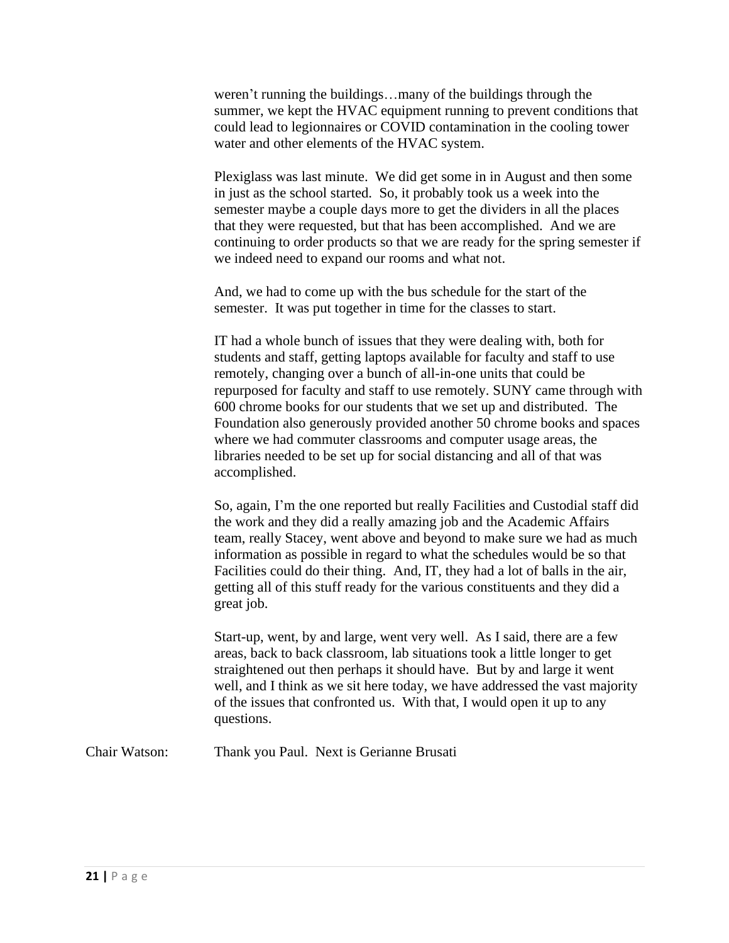weren't running the buildings…many of the buildings through the summer, we kept the HVAC equipment running to prevent conditions that could lead to legionnaires or COVID contamination in the cooling tower water and other elements of the HVAC system.

Plexiglass was last minute. We did get some in in August and then some in just as the school started. So, it probably took us a week into the semester maybe a couple days more to get the dividers in all the places that they were requested, but that has been accomplished. And we are continuing to order products so that we are ready for the spring semester if we indeed need to expand our rooms and what not.

And, we had to come up with the bus schedule for the start of the semester. It was put together in time for the classes to start.

IT had a whole bunch of issues that they were dealing with, both for students and staff, getting laptops available for faculty and staff to use remotely, changing over a bunch of all-in-one units that could be repurposed for faculty and staff to use remotely. SUNY came through with 600 chrome books for our students that we set up and distributed. The Foundation also generously provided another 50 chrome books and spaces where we had commuter classrooms and computer usage areas, the libraries needed to be set up for social distancing and all of that was accomplished.

So, again, I'm the one reported but really Facilities and Custodial staff did the work and they did a really amazing job and the Academic Affairs team, really Stacey, went above and beyond to make sure we had as much information as possible in regard to what the schedules would be so that Facilities could do their thing. And, IT, they had a lot of balls in the air, getting all of this stuff ready for the various constituents and they did a great job.

Start-up, went, by and large, went very well. As I said, there are a few areas, back to back classroom, lab situations took a little longer to get straightened out then perhaps it should have. But by and large it went well, and I think as we sit here today, we have addressed the vast majority of the issues that confronted us. With that, I would open it up to any questions.

Chair Watson: Thank you Paul. Next is Gerianne Brusati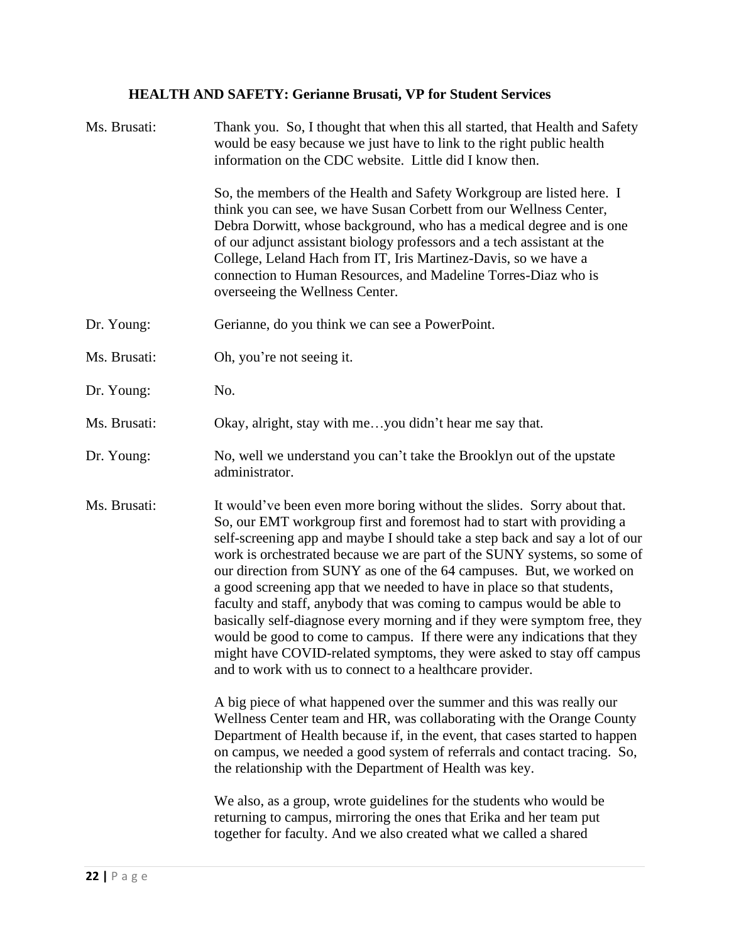# **HEALTH AND SAFETY: Gerianne Brusati, VP for Student Services**

| Ms. Brusati: | Thank you. So, I thought that when this all started, that Health and Safety<br>would be easy because we just have to link to the right public health<br>information on the CDC website. Little did I know then.                                                                                                                                                                                                                                                                                                                                                                                                                                                                                                                                                                                                                       |
|--------------|---------------------------------------------------------------------------------------------------------------------------------------------------------------------------------------------------------------------------------------------------------------------------------------------------------------------------------------------------------------------------------------------------------------------------------------------------------------------------------------------------------------------------------------------------------------------------------------------------------------------------------------------------------------------------------------------------------------------------------------------------------------------------------------------------------------------------------------|
|              | So, the members of the Health and Safety Workgroup are listed here. I<br>think you can see, we have Susan Corbett from our Wellness Center,<br>Debra Dorwitt, whose background, who has a medical degree and is one<br>of our adjunct assistant biology professors and a tech assistant at the<br>College, Leland Hach from IT, Iris Martinez-Davis, so we have a<br>connection to Human Resources, and Madeline Torres-Diaz who is<br>overseeing the Wellness Center.                                                                                                                                                                                                                                                                                                                                                                |
| Dr. Young:   | Gerianne, do you think we can see a PowerPoint.                                                                                                                                                                                                                                                                                                                                                                                                                                                                                                                                                                                                                                                                                                                                                                                       |
| Ms. Brusati: | Oh, you're not seeing it.                                                                                                                                                                                                                                                                                                                                                                                                                                                                                                                                                                                                                                                                                                                                                                                                             |
| Dr. Young:   | No.                                                                                                                                                                                                                                                                                                                                                                                                                                                                                                                                                                                                                                                                                                                                                                                                                                   |
| Ms. Brusati: | Okay, alright, stay with meyou didn't hear me say that.                                                                                                                                                                                                                                                                                                                                                                                                                                                                                                                                                                                                                                                                                                                                                                               |
| Dr. Young:   | No, well we understand you can't take the Brooklyn out of the upstate<br>administrator.                                                                                                                                                                                                                                                                                                                                                                                                                                                                                                                                                                                                                                                                                                                                               |
| Ms. Brusati: | It would've been even more boring without the slides. Sorry about that.<br>So, our EMT workgroup first and foremost had to start with providing a<br>self-screening app and maybe I should take a step back and say a lot of our<br>work is orchestrated because we are part of the SUNY systems, so some of<br>our direction from SUNY as one of the 64 campuses. But, we worked on<br>a good screening app that we needed to have in place so that students,<br>faculty and staff, anybody that was coming to campus would be able to<br>basically self-diagnose every morning and if they were symptom free, they<br>would be good to come to campus. If there were any indications that they<br>might have COVID-related symptoms, they were asked to stay off campus<br>and to work with us to connect to a healthcare provider. |
|              | A big piece of what happened over the summer and this was really our<br>Wellness Center team and HR, was collaborating with the Orange County<br>Department of Health because if, in the event, that cases started to happen<br>on campus, we needed a good system of referrals and contact tracing. So,<br>the relationship with the Department of Health was key.                                                                                                                                                                                                                                                                                                                                                                                                                                                                   |
|              | We also, as a group, wrote guidelines for the students who would be<br>returning to campus, mirroring the ones that Erika and her team put<br>together for faculty. And we also created what we called a shared                                                                                                                                                                                                                                                                                                                                                                                                                                                                                                                                                                                                                       |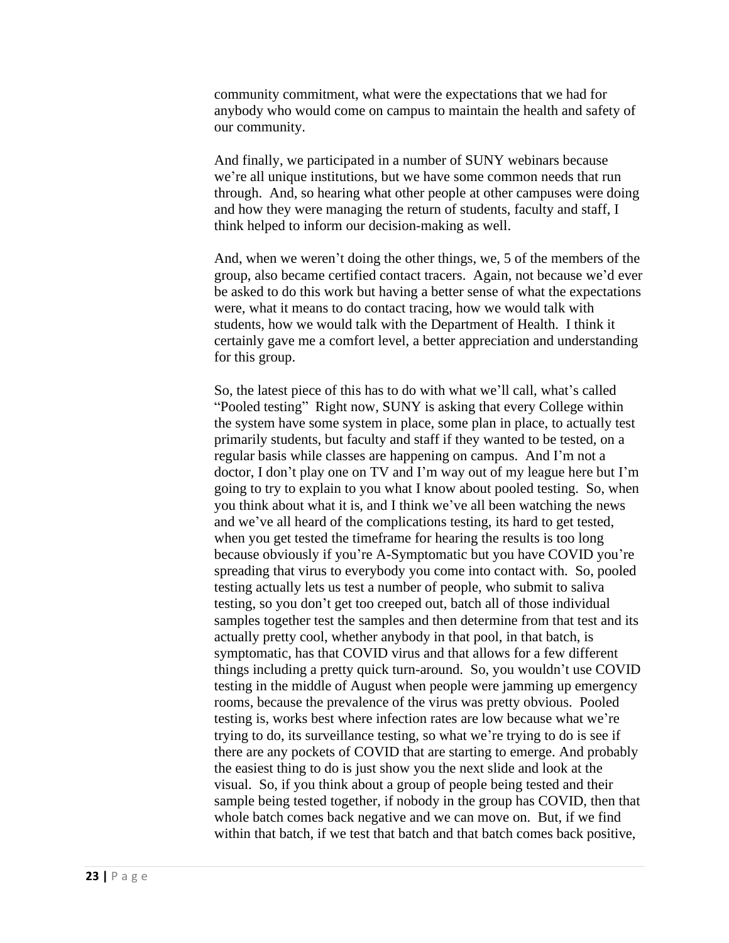community commitment, what were the expectations that we had for anybody who would come on campus to maintain the health and safety of our community.

And finally, we participated in a number of SUNY webinars because we're all unique institutions, but we have some common needs that run through. And, so hearing what other people at other campuses were doing and how they were managing the return of students, faculty and staff, I think helped to inform our decision-making as well.

And, when we weren't doing the other things, we, 5 of the members of the group, also became certified contact tracers. Again, not because we'd ever be asked to do this work but having a better sense of what the expectations were, what it means to do contact tracing, how we would talk with students, how we would talk with the Department of Health. I think it certainly gave me a comfort level, a better appreciation and understanding for this group.

So, the latest piece of this has to do with what we'll call, what's called "Pooled testing" Right now, SUNY is asking that every College within the system have some system in place, some plan in place, to actually test primarily students, but faculty and staff if they wanted to be tested, on a regular basis while classes are happening on campus. And I'm not a doctor, I don't play one on TV and I'm way out of my league here but I'm going to try to explain to you what I know about pooled testing. So, when you think about what it is, and I think we've all been watching the news and we've all heard of the complications testing, its hard to get tested, when you get tested the timeframe for hearing the results is too long because obviously if you're A-Symptomatic but you have COVID you're spreading that virus to everybody you come into contact with. So, pooled testing actually lets us test a number of people, who submit to saliva testing, so you don't get too creeped out, batch all of those individual samples together test the samples and then determine from that test and its actually pretty cool, whether anybody in that pool, in that batch, is symptomatic, has that COVID virus and that allows for a few different things including a pretty quick turn-around. So, you wouldn't use COVID testing in the middle of August when people were jamming up emergency rooms, because the prevalence of the virus was pretty obvious. Pooled testing is, works best where infection rates are low because what we're trying to do, its surveillance testing, so what we're trying to do is see if there are any pockets of COVID that are starting to emerge. And probably the easiest thing to do is just show you the next slide and look at the visual. So, if you think about a group of people being tested and their sample being tested together, if nobody in the group has COVID, then that whole batch comes back negative and we can move on. But, if we find within that batch, if we test that batch and that batch comes back positive,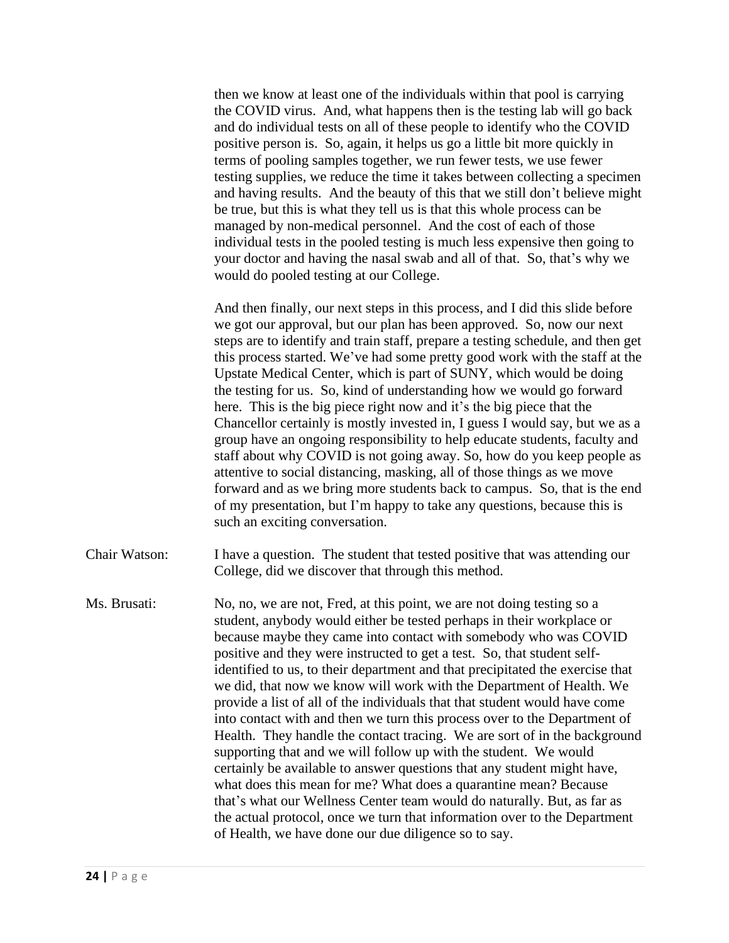then we know at least one of the individuals within that pool is carrying the COVID virus. And, what happens then is the testing lab will go back and do individual tests on all of these people to identify who the COVID positive person is. So, again, it helps us go a little bit more quickly in terms of pooling samples together, we run fewer tests, we use fewer testing supplies, we reduce the time it takes between collecting a specimen and having results. And the beauty of this that we still don't believe might be true, but this is what they tell us is that this whole process can be managed by non-medical personnel. And the cost of each of those individual tests in the pooled testing is much less expensive then going to your doctor and having the nasal swab and all of that. So, that's why we would do pooled testing at our College.

And then finally, our next steps in this process, and I did this slide before we got our approval, but our plan has been approved. So, now our next steps are to identify and train staff, prepare a testing schedule, and then get this process started. We've had some pretty good work with the staff at the Upstate Medical Center, which is part of SUNY, which would be doing the testing for us. So, kind of understanding how we would go forward here. This is the big piece right now and it's the big piece that the Chancellor certainly is mostly invested in, I guess I would say, but we as a group have an ongoing responsibility to help educate students, faculty and staff about why COVID is not going away. So, how do you keep people as attentive to social distancing, masking, all of those things as we move forward and as we bring more students back to campus. So, that is the end of my presentation, but I'm happy to take any questions, because this is such an exciting conversation.

Chair Watson: I have a question. The student that tested positive that was attending our College, did we discover that through this method.

Ms. Brusati: No, no, we are not, Fred, at this point, we are not doing testing so a student, anybody would either be tested perhaps in their workplace or because maybe they came into contact with somebody who was COVID positive and they were instructed to get a test. So, that student selfidentified to us, to their department and that precipitated the exercise that we did, that now we know will work with the Department of Health. We provide a list of all of the individuals that that student would have come into contact with and then we turn this process over to the Department of Health. They handle the contact tracing. We are sort of in the background supporting that and we will follow up with the student. We would certainly be available to answer questions that any student might have, what does this mean for me? What does a quarantine mean? Because that's what our Wellness Center team would do naturally. But, as far as the actual protocol, once we turn that information over to the Department of Health, we have done our due diligence so to say.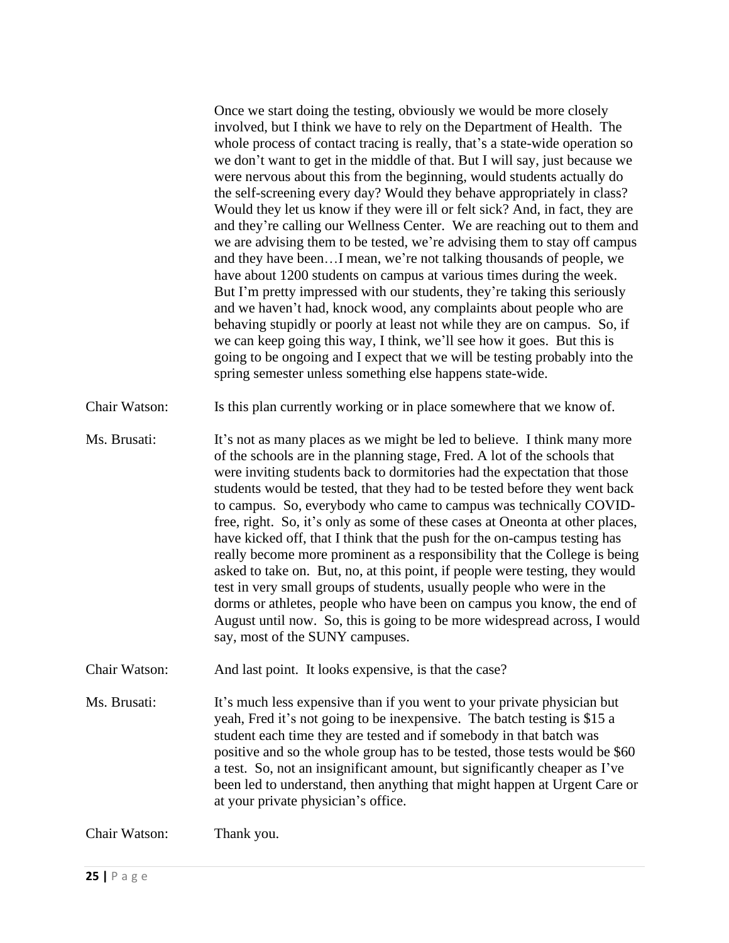Once we start doing the testing, obviously we would be more closely involved, but I think we have to rely on the Department of Health. The whole process of contact tracing is really, that's a state-wide operation so we don't want to get in the middle of that. But I will say, just because we were nervous about this from the beginning, would students actually do the self-screening every day? Would they behave appropriately in class? Would they let us know if they were ill or felt sick? And, in fact, they are and they're calling our Wellness Center. We are reaching out to them and we are advising them to be tested, we're advising them to stay off campus and they have been…I mean, we're not talking thousands of people, we have about 1200 students on campus at various times during the week. But I'm pretty impressed with our students, they're taking this seriously and we haven't had, knock wood, any complaints about people who are behaving stupidly or poorly at least not while they are on campus. So, if we can keep going this way, I think, we'll see how it goes. But this is going to be ongoing and I expect that we will be testing probably into the spring semester unless something else happens state-wide.

- Chair Watson: Is this plan currently working or in place somewhere that we know of.
- Ms. Brusati: It's not as many places as we might be led to believe. I think many more of the schools are in the planning stage, Fred. A lot of the schools that were inviting students back to dormitories had the expectation that those students would be tested, that they had to be tested before they went back to campus. So, everybody who came to campus was technically COVIDfree, right. So, it's only as some of these cases at Oneonta at other places, have kicked off, that I think that the push for the on-campus testing has really become more prominent as a responsibility that the College is being asked to take on. But, no, at this point, if people were testing, they would test in very small groups of students, usually people who were in the dorms or athletes, people who have been on campus you know, the end of August until now. So, this is going to be more widespread across, I would say, most of the SUNY campuses.
- Chair Watson: And last point. It looks expensive, is that the case?
- Ms. Brusati: It's much less expensive than if you went to your private physician but yeah, Fred it's not going to be inexpensive. The batch testing is \$15 a student each time they are tested and if somebody in that batch was positive and so the whole group has to be tested, those tests would be \$60 a test. So, not an insignificant amount, but significantly cheaper as I've been led to understand, then anything that might happen at Urgent Care or at your private physician's office.

Chair Watson: Thank you.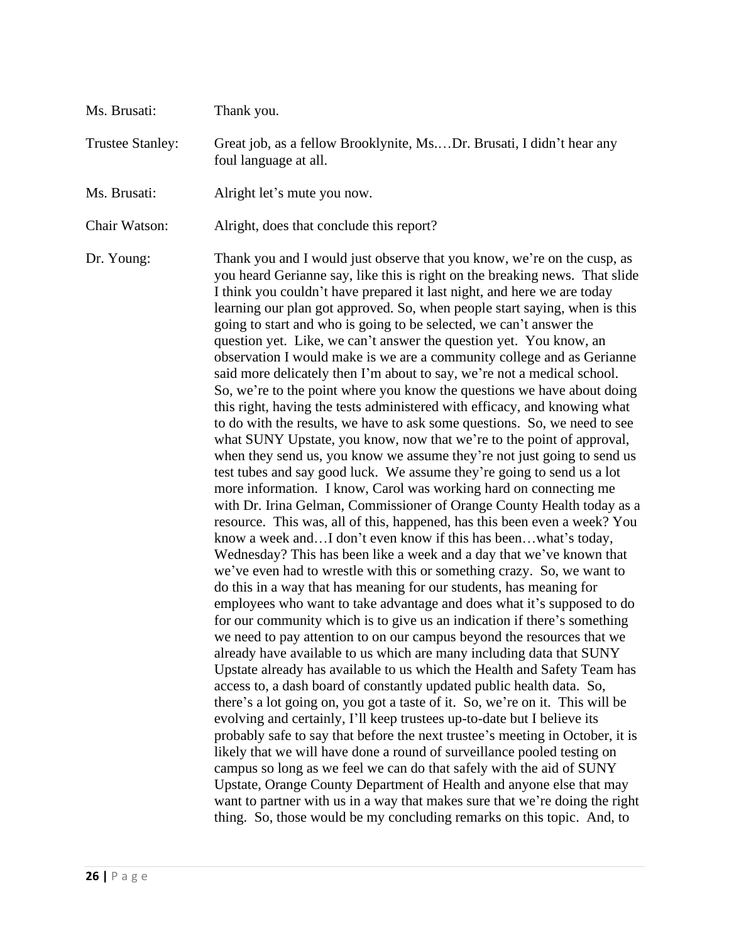| Ms. Brusati:            | Thank you.                                                                                                                                                                                                                                                                                                                                                                                                                                                                                                                                                                                                                                                                                                                                                                                                                                                                                                                                                                                                                                                                                                                                                                                                                                                                                                                                                                                                                                                                                                                                                                                                                                                                                                                                                                                                                                                                                                                                                                                                                                                                                                                                                                                                                                                                                                                                                                                                                                                                                                                                                                                                                                                                                               |
|-------------------------|----------------------------------------------------------------------------------------------------------------------------------------------------------------------------------------------------------------------------------------------------------------------------------------------------------------------------------------------------------------------------------------------------------------------------------------------------------------------------------------------------------------------------------------------------------------------------------------------------------------------------------------------------------------------------------------------------------------------------------------------------------------------------------------------------------------------------------------------------------------------------------------------------------------------------------------------------------------------------------------------------------------------------------------------------------------------------------------------------------------------------------------------------------------------------------------------------------------------------------------------------------------------------------------------------------------------------------------------------------------------------------------------------------------------------------------------------------------------------------------------------------------------------------------------------------------------------------------------------------------------------------------------------------------------------------------------------------------------------------------------------------------------------------------------------------------------------------------------------------------------------------------------------------------------------------------------------------------------------------------------------------------------------------------------------------------------------------------------------------------------------------------------------------------------------------------------------------------------------------------------------------------------------------------------------------------------------------------------------------------------------------------------------------------------------------------------------------------------------------------------------------------------------------------------------------------------------------------------------------------------------------------------------------------------------------------------------------|
| <b>Trustee Stanley:</b> | Great job, as a fellow Brooklynite, MsDr. Brusati, I didn't hear any<br>foul language at all.                                                                                                                                                                                                                                                                                                                                                                                                                                                                                                                                                                                                                                                                                                                                                                                                                                                                                                                                                                                                                                                                                                                                                                                                                                                                                                                                                                                                                                                                                                                                                                                                                                                                                                                                                                                                                                                                                                                                                                                                                                                                                                                                                                                                                                                                                                                                                                                                                                                                                                                                                                                                            |
| Ms. Brusati:            | Alright let's mute you now.                                                                                                                                                                                                                                                                                                                                                                                                                                                                                                                                                                                                                                                                                                                                                                                                                                                                                                                                                                                                                                                                                                                                                                                                                                                                                                                                                                                                                                                                                                                                                                                                                                                                                                                                                                                                                                                                                                                                                                                                                                                                                                                                                                                                                                                                                                                                                                                                                                                                                                                                                                                                                                                                              |
| Chair Watson:           | Alright, does that conclude this report?                                                                                                                                                                                                                                                                                                                                                                                                                                                                                                                                                                                                                                                                                                                                                                                                                                                                                                                                                                                                                                                                                                                                                                                                                                                                                                                                                                                                                                                                                                                                                                                                                                                                                                                                                                                                                                                                                                                                                                                                                                                                                                                                                                                                                                                                                                                                                                                                                                                                                                                                                                                                                                                                 |
| Dr. Young:              | Thank you and I would just observe that you know, we're on the cusp, as<br>you heard Gerianne say, like this is right on the breaking news. That slide<br>I think you couldn't have prepared it last night, and here we are today<br>learning our plan got approved. So, when people start saying, when is this<br>going to start and who is going to be selected, we can't answer the<br>question yet. Like, we can't answer the question yet. You know, an<br>observation I would make is we are a community college and as Gerianne<br>said more delicately then I'm about to say, we're not a medical school.<br>So, we're to the point where you know the questions we have about doing<br>this right, having the tests administered with efficacy, and knowing what<br>to do with the results, we have to ask some questions. So, we need to see<br>what SUNY Upstate, you know, now that we're to the point of approval,<br>when they send us, you know we assume they're not just going to send us<br>test tubes and say good luck. We assume they're going to send us a lot<br>more information. I know, Carol was working hard on connecting me<br>with Dr. Irina Gelman, Commissioner of Orange County Health today as a<br>resource. This was, all of this, happened, has this been even a week? You<br>know a week andI don't even know if this has beenwhat's today,<br>Wednesday? This has been like a week and a day that we've known that<br>we've even had to wrestle with this or something crazy. So, we want to<br>do this in a way that has meaning for our students, has meaning for<br>employees who want to take advantage and does what it's supposed to do<br>for our community which is to give us an indication if there's something<br>we need to pay attention to on our campus beyond the resources that we<br>already have available to us which are many including data that SUNY<br>Upstate already has available to us which the Health and Safety Team has<br>access to, a dash board of constantly updated public health data. So,<br>there's a lot going on, you got a taste of it. So, we're on it. This will be<br>evolving and certainly, I'll keep trustees up-to-date but I believe its<br>probably safe to say that before the next trustee's meeting in October, it is<br>likely that we will have done a round of surveillance pooled testing on<br>campus so long as we feel we can do that safely with the aid of SUNY<br>Upstate, Orange County Department of Health and anyone else that may<br>want to partner with us in a way that makes sure that we're doing the right<br>thing. So, those would be my concluding remarks on this topic. And, to |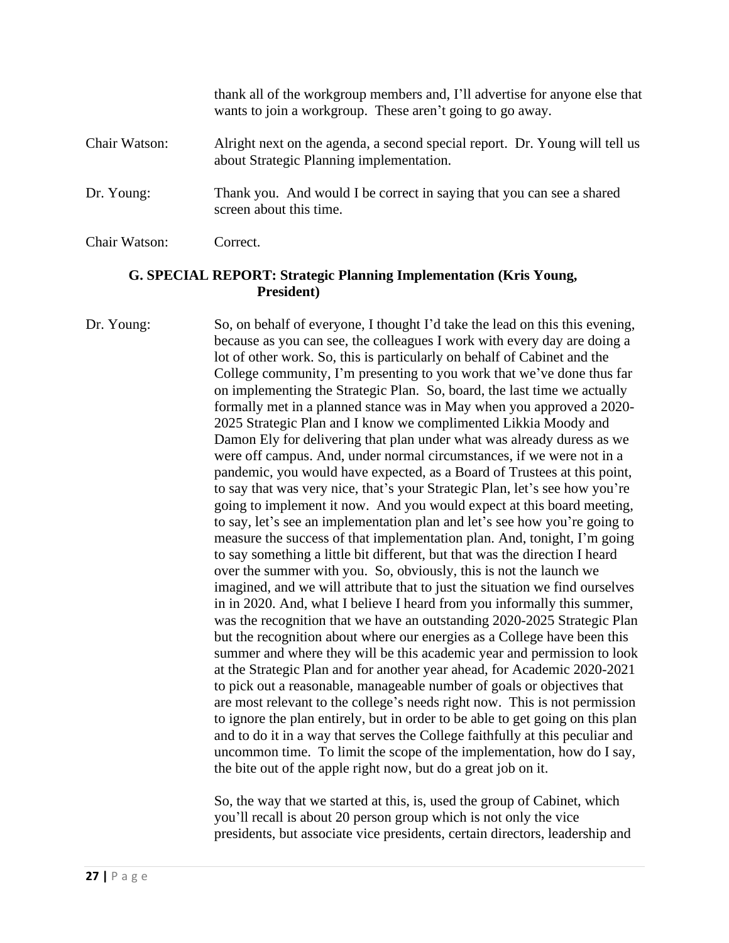|               | thank all of the workgroup members and, I'll advertise for anyone else that<br>wants to join a workgroup. These aren't going to go away. |
|---------------|------------------------------------------------------------------------------------------------------------------------------------------|
| Chair Watson: | Alright next on the agenda, a second special report. Dr. Young will tell us<br>about Strategic Planning implementation.                  |
| Dr. Young:    | Thank you. And would I be correct in saying that you can see a shared<br>screen about this time.                                         |
| Chair Watson: | Correct.                                                                                                                                 |

#### **G. SPECIAL REPORT: Strategic Planning Implementation (Kris Young, President)**

Dr. Young: So, on behalf of everyone, I thought I'd take the lead on this this evening, because as you can see, the colleagues I work with every day are doing a lot of other work. So, this is particularly on behalf of Cabinet and the College community, I'm presenting to you work that we've done thus far on implementing the Strategic Plan. So, board, the last time we actually formally met in a planned stance was in May when you approved a 2020- 2025 Strategic Plan and I know we complimented Likkia Moody and Damon Ely for delivering that plan under what was already duress as we were off campus. And, under normal circumstances, if we were not in a pandemic, you would have expected, as a Board of Trustees at this point, to say that was very nice, that's your Strategic Plan, let's see how you're going to implement it now. And you would expect at this board meeting, to say, let's see an implementation plan and let's see how you're going to measure the success of that implementation plan. And, tonight, I'm going to say something a little bit different, but that was the direction I heard over the summer with you. So, obviously, this is not the launch we imagined, and we will attribute that to just the situation we find ourselves in in 2020. And, what I believe I heard from you informally this summer, was the recognition that we have an outstanding 2020-2025 Strategic Plan but the recognition about where our energies as a College have been this summer and where they will be this academic year and permission to look at the Strategic Plan and for another year ahead, for Academic 2020-2021 to pick out a reasonable, manageable number of goals or objectives that are most relevant to the college's needs right now. This is not permission to ignore the plan entirely, but in order to be able to get going on this plan and to do it in a way that serves the College faithfully at this peculiar and uncommon time. To limit the scope of the implementation, how do I say, the bite out of the apple right now, but do a great job on it.

> So, the way that we started at this, is, used the group of Cabinet, which you'll recall is about 20 person group which is not only the vice presidents, but associate vice presidents, certain directors, leadership and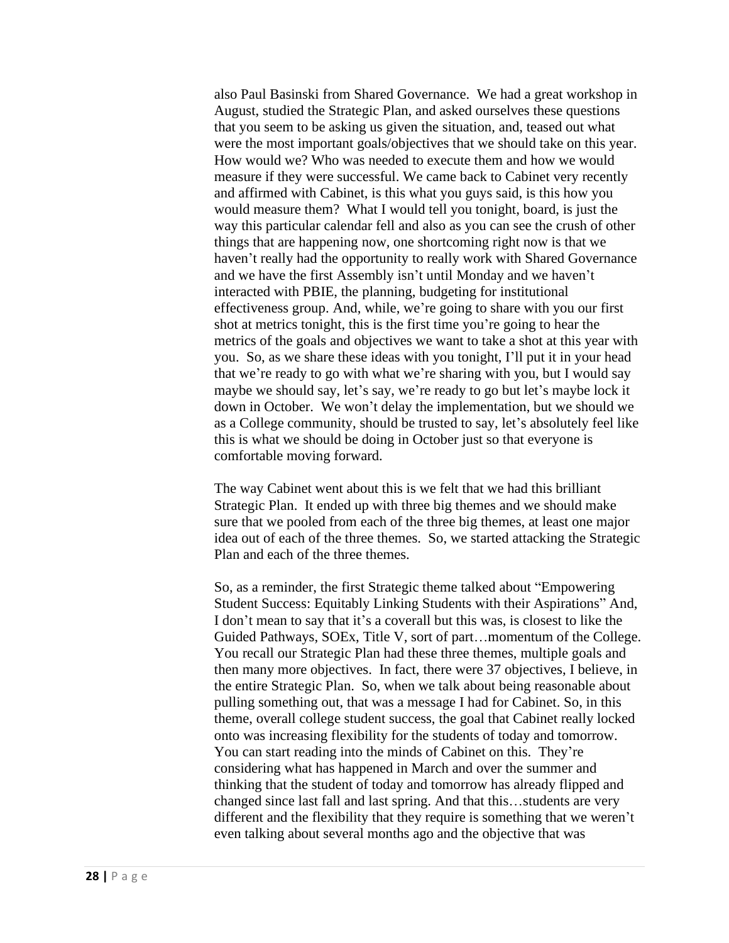also Paul Basinski from Shared Governance. We had a great workshop in August, studied the Strategic Plan, and asked ourselves these questions that you seem to be asking us given the situation, and, teased out what were the most important goals/objectives that we should take on this year. How would we? Who was needed to execute them and how we would measure if they were successful. We came back to Cabinet very recently and affirmed with Cabinet, is this what you guys said, is this how you would measure them? What I would tell you tonight, board, is just the way this particular calendar fell and also as you can see the crush of other things that are happening now, one shortcoming right now is that we haven't really had the opportunity to really work with Shared Governance and we have the first Assembly isn't until Monday and we haven't interacted with PBIE, the planning, budgeting for institutional effectiveness group. And, while, we're going to share with you our first shot at metrics tonight, this is the first time you're going to hear the metrics of the goals and objectives we want to take a shot at this year with you. So, as we share these ideas with you tonight, I'll put it in your head that we're ready to go with what we're sharing with you, but I would say maybe we should say, let's say, we're ready to go but let's maybe lock it down in October. We won't delay the implementation, but we should we as a College community, should be trusted to say, let's absolutely feel like this is what we should be doing in October just so that everyone is comfortable moving forward.

The way Cabinet went about this is we felt that we had this brilliant Strategic Plan. It ended up with three big themes and we should make sure that we pooled from each of the three big themes, at least one major idea out of each of the three themes. So, we started attacking the Strategic Plan and each of the three themes.

So, as a reminder, the first Strategic theme talked about "Empowering Student Success: Equitably Linking Students with their Aspirations" And, I don't mean to say that it's a coverall but this was, is closest to like the Guided Pathways, SOEx, Title V, sort of part…momentum of the College. You recall our Strategic Plan had these three themes, multiple goals and then many more objectives. In fact, there were 37 objectives, I believe, in the entire Strategic Plan. So, when we talk about being reasonable about pulling something out, that was a message I had for Cabinet. So, in this theme, overall college student success, the goal that Cabinet really locked onto was increasing flexibility for the students of today and tomorrow. You can start reading into the minds of Cabinet on this. They're considering what has happened in March and over the summer and thinking that the student of today and tomorrow has already flipped and changed since last fall and last spring. And that this…students are very different and the flexibility that they require is something that we weren't even talking about several months ago and the objective that was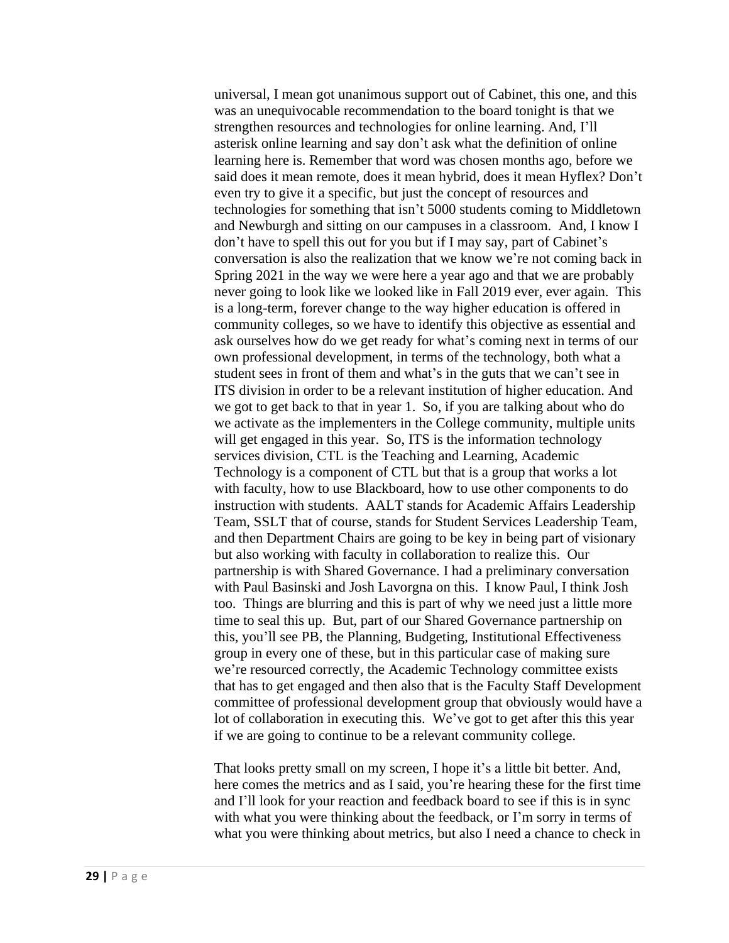universal, I mean got unanimous support out of Cabinet, this one, and this was an unequivocable recommendation to the board tonight is that we strengthen resources and technologies for online learning. And, I'll asterisk online learning and say don't ask what the definition of online learning here is. Remember that word was chosen months ago, before we said does it mean remote, does it mean hybrid, does it mean Hyflex? Don't even try to give it a specific, but just the concept of resources and technologies for something that isn't 5000 students coming to Middletown and Newburgh and sitting on our campuses in a classroom. And, I know I don't have to spell this out for you but if I may say, part of Cabinet's conversation is also the realization that we know we're not coming back in Spring 2021 in the way we were here a year ago and that we are probably never going to look like we looked like in Fall 2019 ever, ever again. This is a long-term, forever change to the way higher education is offered in community colleges, so we have to identify this objective as essential and ask ourselves how do we get ready for what's coming next in terms of our own professional development, in terms of the technology, both what a student sees in front of them and what's in the guts that we can't see in ITS division in order to be a relevant institution of higher education. And we got to get back to that in year 1. So, if you are talking about who do we activate as the implementers in the College community, multiple units will get engaged in this year. So, ITS is the information technology services division, CTL is the Teaching and Learning, Academic Technology is a component of CTL but that is a group that works a lot with faculty, how to use Blackboard, how to use other components to do instruction with students. AALT stands for Academic Affairs Leadership Team, SSLT that of course, stands for Student Services Leadership Team, and then Department Chairs are going to be key in being part of visionary but also working with faculty in collaboration to realize this. Our partnership is with Shared Governance. I had a preliminary conversation with Paul Basinski and Josh Lavorgna on this. I know Paul, I think Josh too. Things are blurring and this is part of why we need just a little more time to seal this up. But, part of our Shared Governance partnership on this, you'll see PB, the Planning, Budgeting, Institutional Effectiveness group in every one of these, but in this particular case of making sure we're resourced correctly, the Academic Technology committee exists that has to get engaged and then also that is the Faculty Staff Development committee of professional development group that obviously would have a lot of collaboration in executing this. We've got to get after this this year if we are going to continue to be a relevant community college.

That looks pretty small on my screen, I hope it's a little bit better. And, here comes the metrics and as I said, you're hearing these for the first time and I'll look for your reaction and feedback board to see if this is in sync with what you were thinking about the feedback, or I'm sorry in terms of what you were thinking about metrics, but also I need a chance to check in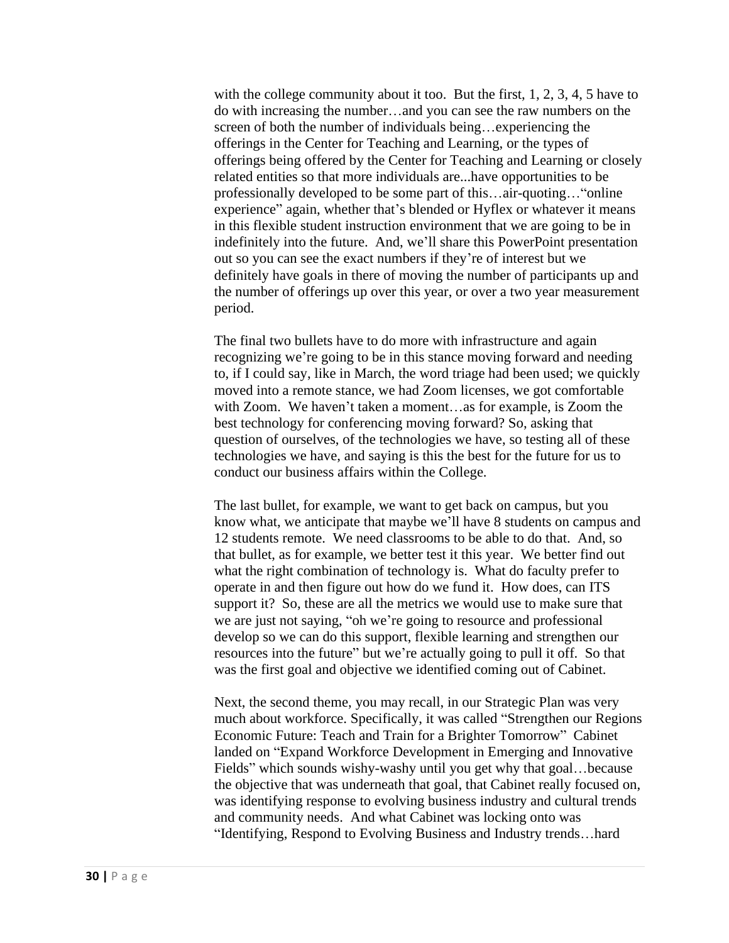with the college community about it too. But the first, 1, 2, 3, 4, 5 have to do with increasing the number…and you can see the raw numbers on the screen of both the number of individuals being…experiencing the offerings in the Center for Teaching and Learning, or the types of offerings being offered by the Center for Teaching and Learning or closely related entities so that more individuals are...have opportunities to be professionally developed to be some part of this…air-quoting…"online experience" again, whether that's blended or Hyflex or whatever it means in this flexible student instruction environment that we are going to be in indefinitely into the future. And, we'll share this PowerPoint presentation out so you can see the exact numbers if they're of interest but we definitely have goals in there of moving the number of participants up and the number of offerings up over this year, or over a two year measurement period.

The final two bullets have to do more with infrastructure and again recognizing we're going to be in this stance moving forward and needing to, if I could say, like in March, the word triage had been used; we quickly moved into a remote stance, we had Zoom licenses, we got comfortable with Zoom. We haven't taken a moment…as for example, is Zoom the best technology for conferencing moving forward? So, asking that question of ourselves, of the technologies we have, so testing all of these technologies we have, and saying is this the best for the future for us to conduct our business affairs within the College.

The last bullet, for example, we want to get back on campus, but you know what, we anticipate that maybe we'll have 8 students on campus and 12 students remote. We need classrooms to be able to do that. And, so that bullet, as for example, we better test it this year. We better find out what the right combination of technology is. What do faculty prefer to operate in and then figure out how do we fund it. How does, can ITS support it? So, these are all the metrics we would use to make sure that we are just not saying, "oh we're going to resource and professional develop so we can do this support, flexible learning and strengthen our resources into the future" but we're actually going to pull it off. So that was the first goal and objective we identified coming out of Cabinet.

Next, the second theme, you may recall, in our Strategic Plan was very much about workforce. Specifically, it was called "Strengthen our Regions Economic Future: Teach and Train for a Brighter Tomorrow" Cabinet landed on "Expand Workforce Development in Emerging and Innovative Fields" which sounds wishy-washy until you get why that goal...because the objective that was underneath that goal, that Cabinet really focused on, was identifying response to evolving business industry and cultural trends and community needs. And what Cabinet was locking onto was "Identifying, Respond to Evolving Business and Industry trends…hard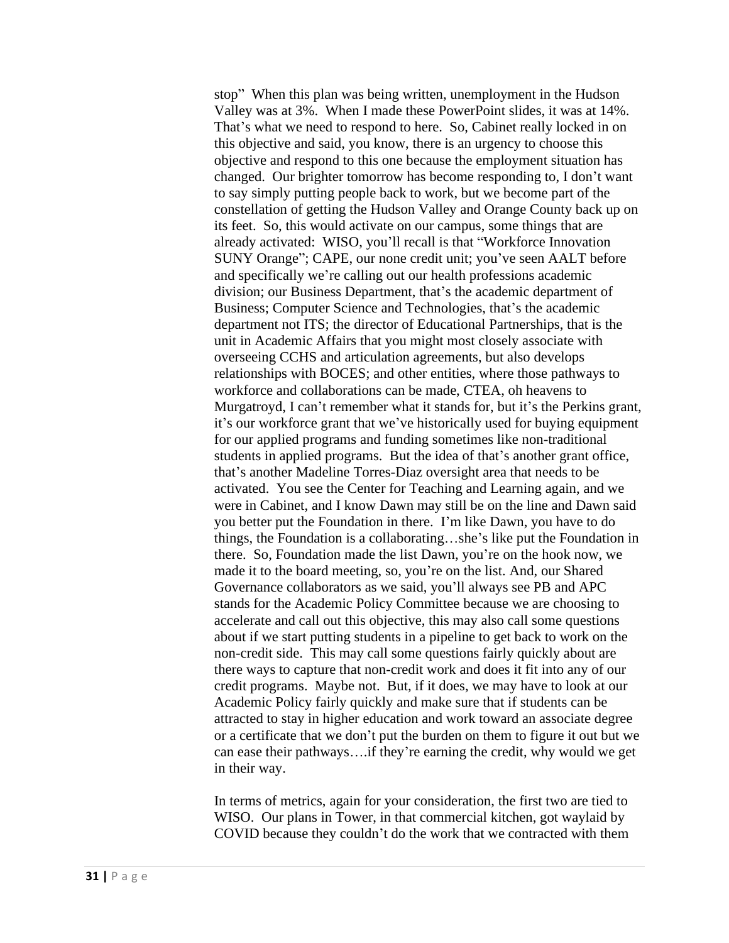stop" When this plan was being written, unemployment in the Hudson Valley was at 3%. When I made these PowerPoint slides, it was at 14%. That's what we need to respond to here. So, Cabinet really locked in on this objective and said, you know, there is an urgency to choose this objective and respond to this one because the employment situation has changed. Our brighter tomorrow has become responding to, I don't want to say simply putting people back to work, but we become part of the constellation of getting the Hudson Valley and Orange County back up on its feet. So, this would activate on our campus, some things that are already activated: WISO, you'll recall is that "Workforce Innovation SUNY Orange"; CAPE, our none credit unit; you've seen AALT before and specifically we're calling out our health professions academic division; our Business Department, that's the academic department of Business; Computer Science and Technologies, that's the academic department not ITS; the director of Educational Partnerships, that is the unit in Academic Affairs that you might most closely associate with overseeing CCHS and articulation agreements, but also develops relationships with BOCES; and other entities, where those pathways to workforce and collaborations can be made, CTEA, oh heavens to Murgatroyd, I can't remember what it stands for, but it's the Perkins grant, it's our workforce grant that we've historically used for buying equipment for our applied programs and funding sometimes like non-traditional students in applied programs. But the idea of that's another grant office, that's another Madeline Torres-Diaz oversight area that needs to be activated. You see the Center for Teaching and Learning again, and we were in Cabinet, and I know Dawn may still be on the line and Dawn said you better put the Foundation in there. I'm like Dawn, you have to do things, the Foundation is a collaborating…she's like put the Foundation in there. So, Foundation made the list Dawn, you're on the hook now, we made it to the board meeting, so, you're on the list. And, our Shared Governance collaborators as we said, you'll always see PB and APC stands for the Academic Policy Committee because we are choosing to accelerate and call out this objective, this may also call some questions about if we start putting students in a pipeline to get back to work on the non-credit side. This may call some questions fairly quickly about are there ways to capture that non-credit work and does it fit into any of our credit programs. Maybe not. But, if it does, we may have to look at our Academic Policy fairly quickly and make sure that if students can be attracted to stay in higher education and work toward an associate degree or a certificate that we don't put the burden on them to figure it out but we can ease their pathways….if they're earning the credit, why would we get in their way.

In terms of metrics, again for your consideration, the first two are tied to WISO. Our plans in Tower, in that commercial kitchen, got waylaid by COVID because they couldn't do the work that we contracted with them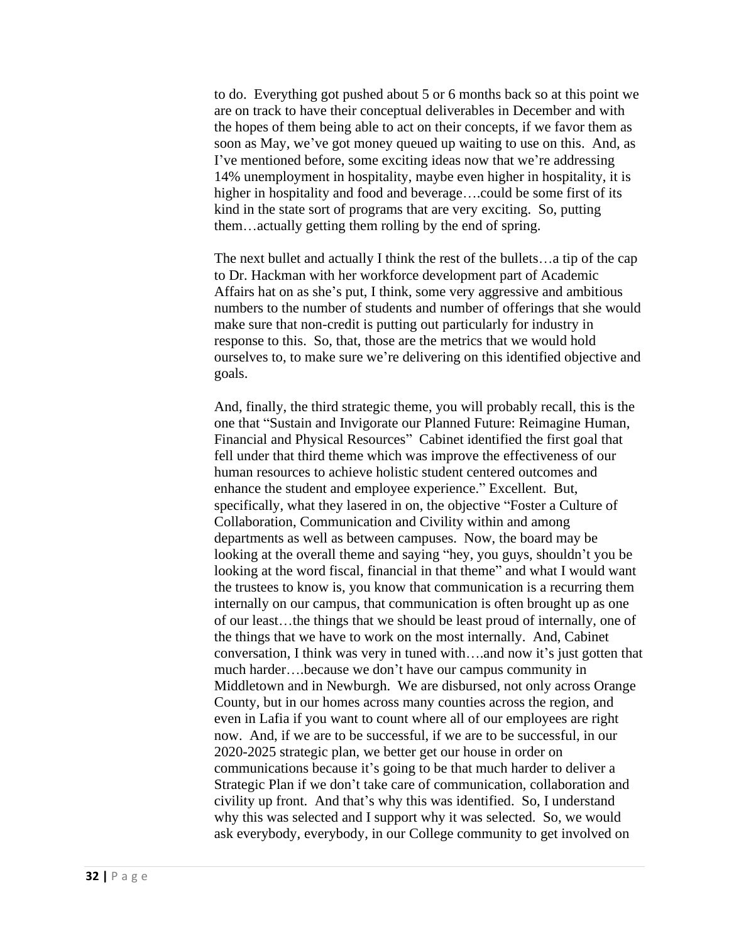to do. Everything got pushed about 5 or 6 months back so at this point we are on track to have their conceptual deliverables in December and with the hopes of them being able to act on their concepts, if we favor them as soon as May, we've got money queued up waiting to use on this. And, as I've mentioned before, some exciting ideas now that we're addressing 14% unemployment in hospitality, maybe even higher in hospitality, it is higher in hospitality and food and beverage….could be some first of its kind in the state sort of programs that are very exciting. So, putting them…actually getting them rolling by the end of spring.

The next bullet and actually I think the rest of the bullets…a tip of the cap to Dr. Hackman with her workforce development part of Academic Affairs hat on as she's put, I think, some very aggressive and ambitious numbers to the number of students and number of offerings that she would make sure that non-credit is putting out particularly for industry in response to this. So, that, those are the metrics that we would hold ourselves to, to make sure we're delivering on this identified objective and goals.

And, finally, the third strategic theme, you will probably recall, this is the one that "Sustain and Invigorate our Planned Future: Reimagine Human, Financial and Physical Resources" Cabinet identified the first goal that fell under that third theme which was improve the effectiveness of our human resources to achieve holistic student centered outcomes and enhance the student and employee experience." Excellent. But, specifically, what they lasered in on, the objective "Foster a Culture of Collaboration, Communication and Civility within and among departments as well as between campuses. Now, the board may be looking at the overall theme and saying "hey, you guys, shouldn't you be looking at the word fiscal, financial in that theme" and what I would want the trustees to know is, you know that communication is a recurring them internally on our campus, that communication is often brought up as one of our least…the things that we should be least proud of internally, one of the things that we have to work on the most internally. And, Cabinet conversation, I think was very in tuned with….and now it's just gotten that much harder….because we don't have our campus community in Middletown and in Newburgh. We are disbursed, not only across Orange County, but in our homes across many counties across the region, and even in Lafia if you want to count where all of our employees are right now. And, if we are to be successful, if we are to be successful, in our 2020-2025 strategic plan, we better get our house in order on communications because it's going to be that much harder to deliver a Strategic Plan if we don't take care of communication, collaboration and civility up front. And that's why this was identified. So, I understand why this was selected and I support why it was selected. So, we would ask everybody, everybody, in our College community to get involved on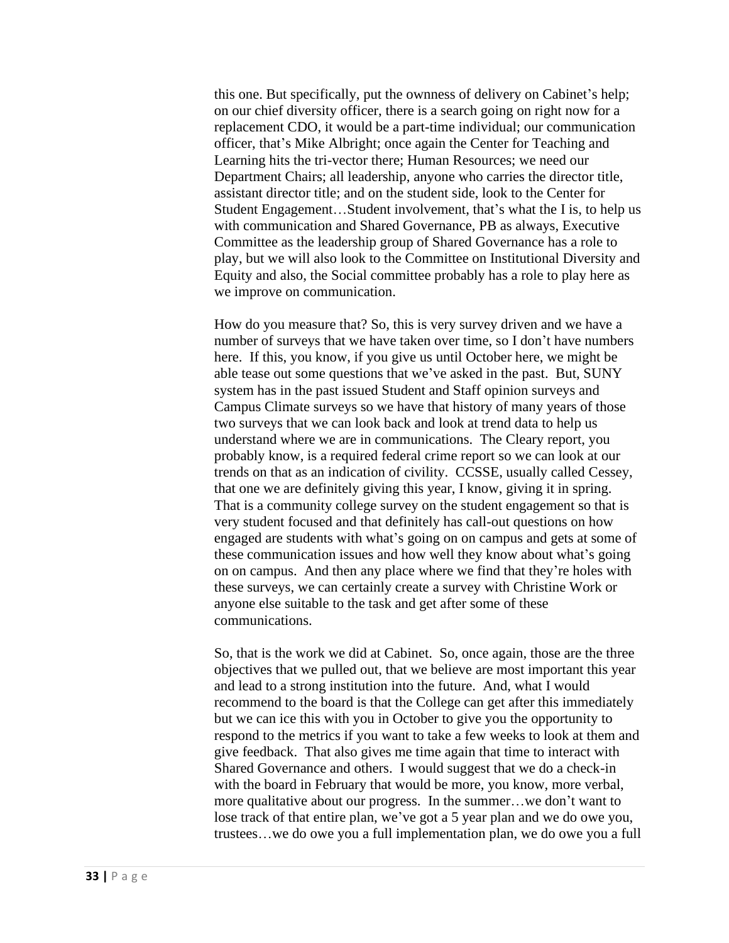this one. But specifically, put the ownness of delivery on Cabinet's help; on our chief diversity officer, there is a search going on right now for a replacement CDO, it would be a part-time individual; our communication officer, that's Mike Albright; once again the Center for Teaching and Learning hits the tri-vector there; Human Resources; we need our Department Chairs; all leadership, anyone who carries the director title, assistant director title; and on the student side, look to the Center for Student Engagement…Student involvement, that's what the I is, to help us with communication and Shared Governance, PB as always, Executive Committee as the leadership group of Shared Governance has a role to play, but we will also look to the Committee on Institutional Diversity and Equity and also, the Social committee probably has a role to play here as we improve on communication.

How do you measure that? So, this is very survey driven and we have a number of surveys that we have taken over time, so I don't have numbers here. If this, you know, if you give us until October here, we might be able tease out some questions that we've asked in the past. But, SUNY system has in the past issued Student and Staff opinion surveys and Campus Climate surveys so we have that history of many years of those two surveys that we can look back and look at trend data to help us understand where we are in communications. The Cleary report, you probably know, is a required federal crime report so we can look at our trends on that as an indication of civility. CCSSE, usually called Cessey, that one we are definitely giving this year, I know, giving it in spring. That is a community college survey on the student engagement so that is very student focused and that definitely has call-out questions on how engaged are students with what's going on on campus and gets at some of these communication issues and how well they know about what's going on on campus. And then any place where we find that they're holes with these surveys, we can certainly create a survey with Christine Work or anyone else suitable to the task and get after some of these communications.

So, that is the work we did at Cabinet. So, once again, those are the three objectives that we pulled out, that we believe are most important this year and lead to a strong institution into the future. And, what I would recommend to the board is that the College can get after this immediately but we can ice this with you in October to give you the opportunity to respond to the metrics if you want to take a few weeks to look at them and give feedback. That also gives me time again that time to interact with Shared Governance and others. I would suggest that we do a check-in with the board in February that would be more, you know, more verbal, more qualitative about our progress. In the summer…we don't want to lose track of that entire plan, we've got a 5 year plan and we do owe you, trustees…we do owe you a full implementation plan, we do owe you a full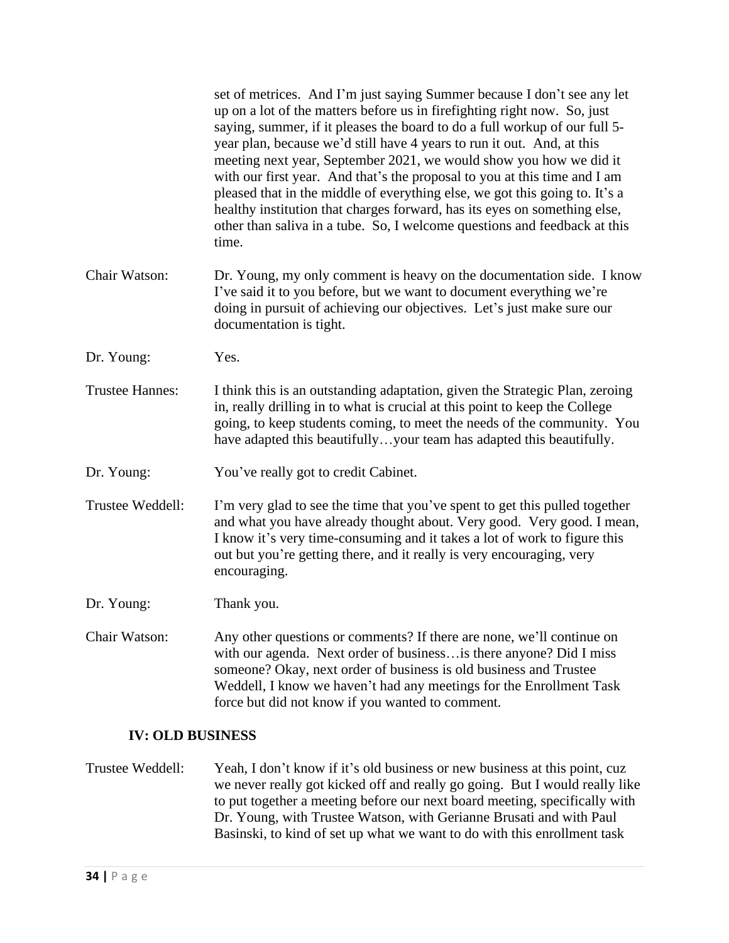|                         | set of metrices. And I'm just saying Summer because I don't see any let<br>up on a lot of the matters before us in firefighting right now. So, just<br>saying, summer, if it pleases the board to do a full workup of our full 5-<br>year plan, because we'd still have 4 years to run it out. And, at this<br>meeting next year, September 2021, we would show you how we did it<br>with our first year. And that's the proposal to you at this time and I am<br>pleased that in the middle of everything else, we got this going to. It's a<br>healthy institution that charges forward, has its eyes on something else,<br>other than saliva in a tube. So, I welcome questions and feedback at this<br>time. |
|-------------------------|------------------------------------------------------------------------------------------------------------------------------------------------------------------------------------------------------------------------------------------------------------------------------------------------------------------------------------------------------------------------------------------------------------------------------------------------------------------------------------------------------------------------------------------------------------------------------------------------------------------------------------------------------------------------------------------------------------------|
| Chair Watson:           | Dr. Young, my only comment is heavy on the documentation side. I know<br>I've said it to you before, but we want to document everything we're<br>doing in pursuit of achieving our objectives. Let's just make sure our<br>documentation is tight.                                                                                                                                                                                                                                                                                                                                                                                                                                                               |
| Dr. Young:              | Yes.                                                                                                                                                                                                                                                                                                                                                                                                                                                                                                                                                                                                                                                                                                             |
| <b>Trustee Hannes:</b>  | I think this is an outstanding adaptation, given the Strategic Plan, zeroing<br>in, really drilling in to what is crucial at this point to keep the College<br>going, to keep students coming, to meet the needs of the community. You<br>have adapted this beautifullyyour team has adapted this beautifully.                                                                                                                                                                                                                                                                                                                                                                                                   |
| Dr. Young:              | You've really got to credit Cabinet.                                                                                                                                                                                                                                                                                                                                                                                                                                                                                                                                                                                                                                                                             |
| Trustee Weddell:        | I'm very glad to see the time that you've spent to get this pulled together<br>and what you have already thought about. Very good. Very good. I mean,<br>I know it's very time-consuming and it takes a lot of work to figure this<br>out but you're getting there, and it really is very encouraging, very<br>encouraging.                                                                                                                                                                                                                                                                                                                                                                                      |
| Dr. Young:              | Thank you.                                                                                                                                                                                                                                                                                                                                                                                                                                                                                                                                                                                                                                                                                                       |
| Chair Watson:           | Any other questions or comments? If there are none, we'll continue on<br>with our agenda. Next order of business is there anyone? Did I miss<br>someone? Okay, next order of business is old business and Trustee<br>Weddell, I know we haven't had any meetings for the Enrollment Task<br>force but did not know if you wanted to comment.                                                                                                                                                                                                                                                                                                                                                                     |
| <b>IV: OLD BUSINESS</b> |                                                                                                                                                                                                                                                                                                                                                                                                                                                                                                                                                                                                                                                                                                                  |

Trustee Weddell: Yeah, I don't know if it's old business or new business at this point, cuz we never really got kicked off and really go going. But I would really like to put together a meeting before our next board meeting, specifically with Dr. Young, with Trustee Watson, with Gerianne Brusati and with Paul Basinski, to kind of set up what we want to do with this enrollment task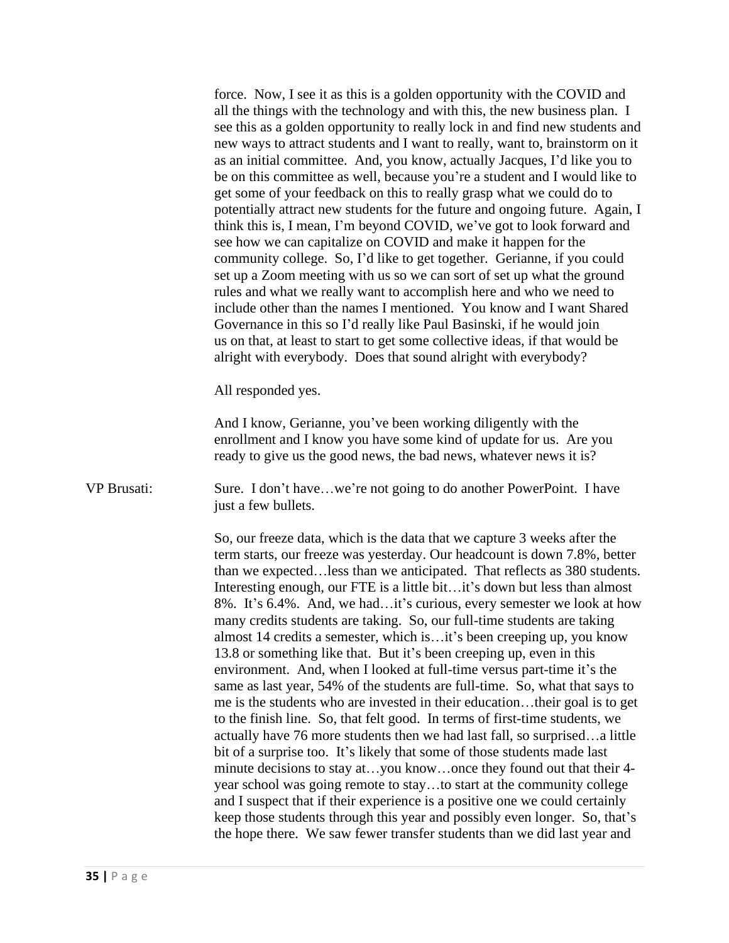force. Now, I see it as this is a golden opportunity with the COVID and all the things with the technology and with this, the new business plan. I see this as a golden opportunity to really lock in and find new students and new ways to attract students and I want to really, want to, brainstorm on it as an initial committee. And, you know, actually Jacques, I'd like you to be on this committee as well, because you're a student and I would like to get some of your feedback on this to really grasp what we could do to potentially attract new students for the future and ongoing future. Again, I think this is, I mean, I'm beyond COVID, we've got to look forward and see how we can capitalize on COVID and make it happen for the community college. So, I'd like to get together. Gerianne, if you could set up a Zoom meeting with us so we can sort of set up what the ground rules and what we really want to accomplish here and who we need to include other than the names I mentioned. You know and I want Shared Governance in this so I'd really like Paul Basinski, if he would join us on that, at least to start to get some collective ideas, if that would be alright with everybody. Does that sound alright with everybody?

All responded yes.

And I know, Gerianne, you've been working diligently with the enrollment and I know you have some kind of update for us. Are you ready to give us the good news, the bad news, whatever news it is?

VP Brusati: Sure. I don't have…we're not going to do another PowerPoint. I have just a few bullets.

> So, our freeze data, which is the data that we capture 3 weeks after the term starts, our freeze was yesterday. Our headcount is down 7.8%, better than we expected…less than we anticipated. That reflects as 380 students. Interesting enough, our FTE is a little bit...it's down but less than almost 8%. It's 6.4%. And, we had…it's curious, every semester we look at how many credits students are taking. So, our full-time students are taking almost 14 credits a semester, which is…it's been creeping up, you know 13.8 or something like that. But it's been creeping up, even in this environment. And, when I looked at full-time versus part-time it's the same as last year, 54% of the students are full-time. So, what that says to me is the students who are invested in their education…their goal is to get to the finish line. So, that felt good. In terms of first-time students, we actually have 76 more students then we had last fall, so surprised…a little bit of a surprise too. It's likely that some of those students made last minute decisions to stay at…you know…once they found out that their 4 year school was going remote to stay…to start at the community college and I suspect that if their experience is a positive one we could certainly keep those students through this year and possibly even longer. So, that's the hope there. We saw fewer transfer students than we did last year and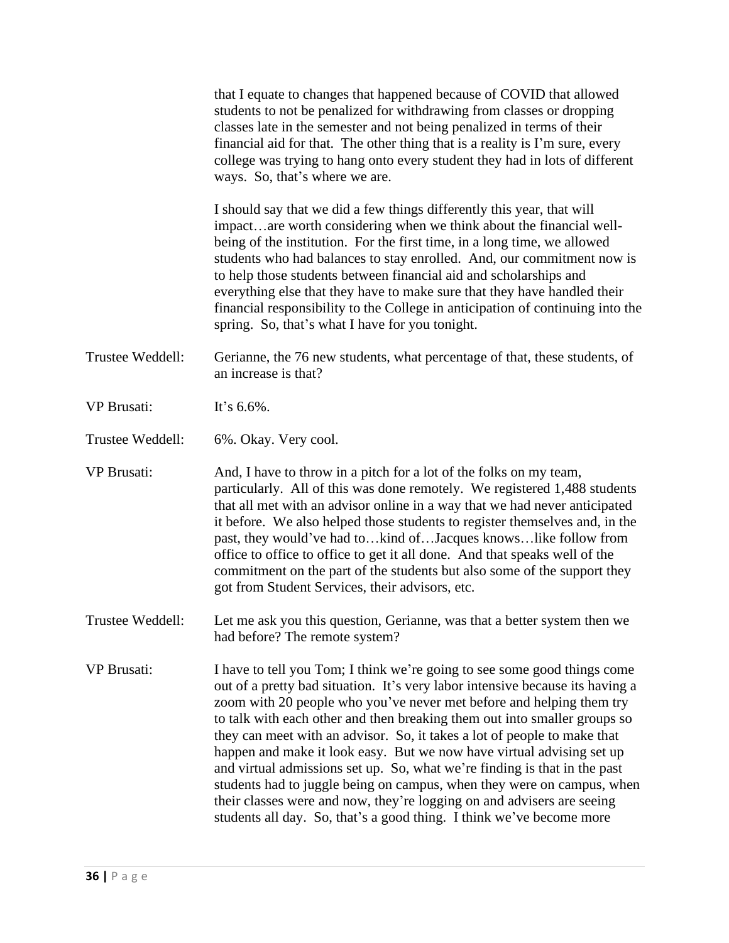|                    | that I equate to changes that happened because of COVID that allowed<br>students to not be penalized for withdrawing from classes or dropping<br>classes late in the semester and not being penalized in terms of their<br>financial aid for that. The other thing that is a reality is I'm sure, every<br>college was trying to hang onto every student they had in lots of different<br>ways. So, that's where we are.                                                                                                                                                                                                                                                                                                                                                     |
|--------------------|------------------------------------------------------------------------------------------------------------------------------------------------------------------------------------------------------------------------------------------------------------------------------------------------------------------------------------------------------------------------------------------------------------------------------------------------------------------------------------------------------------------------------------------------------------------------------------------------------------------------------------------------------------------------------------------------------------------------------------------------------------------------------|
|                    | I should say that we did a few things differently this year, that will<br>impactare worth considering when we think about the financial well-<br>being of the institution. For the first time, in a long time, we allowed<br>students who had balances to stay enrolled. And, our commitment now is<br>to help those students between financial aid and scholarships and<br>everything else that they have to make sure that they have handled their<br>financial responsibility to the College in anticipation of continuing into the<br>spring. So, that's what I have for you tonight.                                                                                                                                                                                    |
| Trustee Weddell:   | Gerianne, the 76 new students, what percentage of that, these students, of<br>an increase is that?                                                                                                                                                                                                                                                                                                                                                                                                                                                                                                                                                                                                                                                                           |
| <b>VP Brusati:</b> | It's 6.6%.                                                                                                                                                                                                                                                                                                                                                                                                                                                                                                                                                                                                                                                                                                                                                                   |
| Trustee Weddell:   | 6%. Okay. Very cool.                                                                                                                                                                                                                                                                                                                                                                                                                                                                                                                                                                                                                                                                                                                                                         |
| <b>VP Brusati:</b> | And, I have to throw in a pitch for a lot of the folks on my team,<br>particularly. All of this was done remotely. We registered 1,488 students<br>that all met with an advisor online in a way that we had never anticipated<br>it before. We also helped those students to register themselves and, in the<br>past, they would've had tokind ofJacques knowslike follow from<br>office to office to office to get it all done. And that speaks well of the<br>commitment on the part of the students but also some of the support they<br>got from Student Services, their advisors, etc.                                                                                                                                                                                  |
| Trustee Weddell:   | Let me ask you this question, Gerianne, was that a better system then we<br>had before? The remote system?                                                                                                                                                                                                                                                                                                                                                                                                                                                                                                                                                                                                                                                                   |
| <b>VP</b> Brusati: | I have to tell you Tom; I think we're going to see some good things come<br>out of a pretty bad situation. It's very labor intensive because its having a<br>zoom with 20 people who you've never met before and helping them try<br>to talk with each other and then breaking them out into smaller groups so<br>they can meet with an advisor. So, it takes a lot of people to make that<br>happen and make it look easy. But we now have virtual advising set up<br>and virtual admissions set up. So, what we're finding is that in the past<br>students had to juggle being on campus, when they were on campus, when<br>their classes were and now, they're logging on and advisers are seeing<br>students all day. So, that's a good thing. I think we've become more |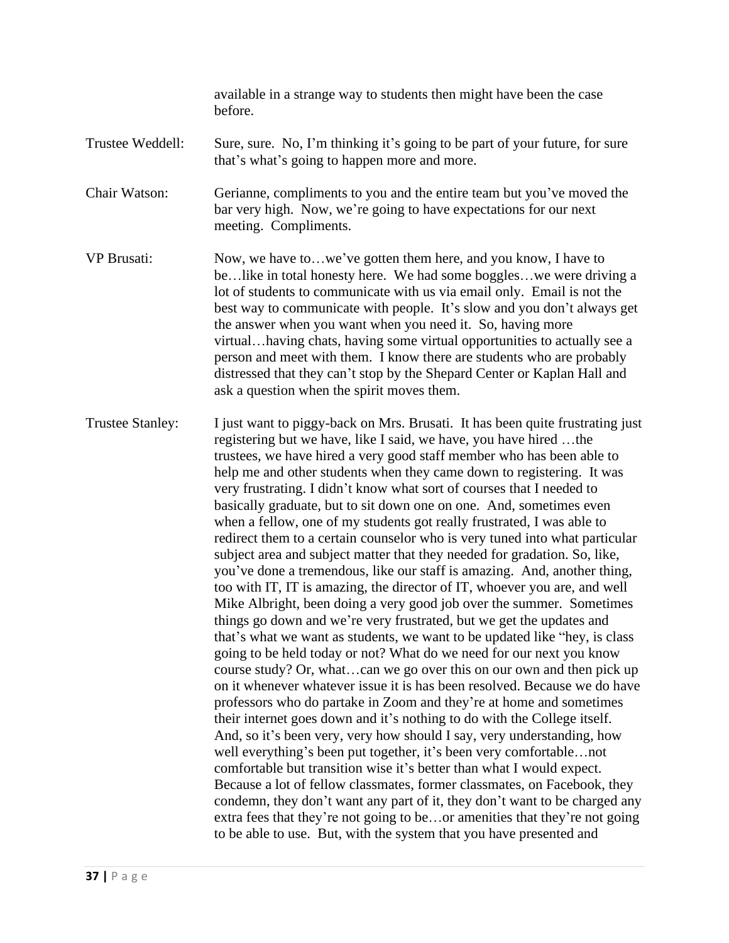available in a strange way to students then might have been the case before.

# Trustee Weddell: Sure, sure. No, I'm thinking it's going to be part of your future, for sure that's what's going to happen more and more.

Chair Watson: Gerianne, compliments to you and the entire team but you've moved the bar very high. Now, we're going to have expectations for our next meeting. Compliments.

- VP Brusati: Now, we have to…we've gotten them here, and you know, I have to be…like in total honesty here. We had some boggles…we were driving a lot of students to communicate with us via email only. Email is not the best way to communicate with people. It's slow and you don't always get the answer when you want when you need it. So, having more virtual…having chats, having some virtual opportunities to actually see a person and meet with them. I know there are students who are probably distressed that they can't stop by the Shepard Center or Kaplan Hall and ask a question when the spirit moves them.
- Trustee Stanley: I just want to piggy-back on Mrs. Brusati. It has been quite frustrating just registering but we have, like I said, we have, you have hired …the trustees, we have hired a very good staff member who has been able to help me and other students when they came down to registering. It was very frustrating. I didn't know what sort of courses that I needed to basically graduate, but to sit down one on one. And, sometimes even when a fellow, one of my students got really frustrated, I was able to redirect them to a certain counselor who is very tuned into what particular subject area and subject matter that they needed for gradation. So, like, you've done a tremendous, like our staff is amazing. And, another thing, too with IT, IT is amazing, the director of IT, whoever you are, and well Mike Albright, been doing a very good job over the summer. Sometimes things go down and we're very frustrated, but we get the updates and that's what we want as students, we want to be updated like "hey, is class going to be held today or not? What do we need for our next you know course study? Or, what…can we go over this on our own and then pick up on it whenever whatever issue it is has been resolved. Because we do have professors who do partake in Zoom and they're at home and sometimes their internet goes down and it's nothing to do with the College itself. And, so it's been very, very how should I say, very understanding, how well everything's been put together, it's been very comfortable…not comfortable but transition wise it's better than what I would expect. Because a lot of fellow classmates, former classmates, on Facebook, they condemn, they don't want any part of it, they don't want to be charged any extra fees that they're not going to be…or amenities that they're not going to be able to use. But, with the system that you have presented and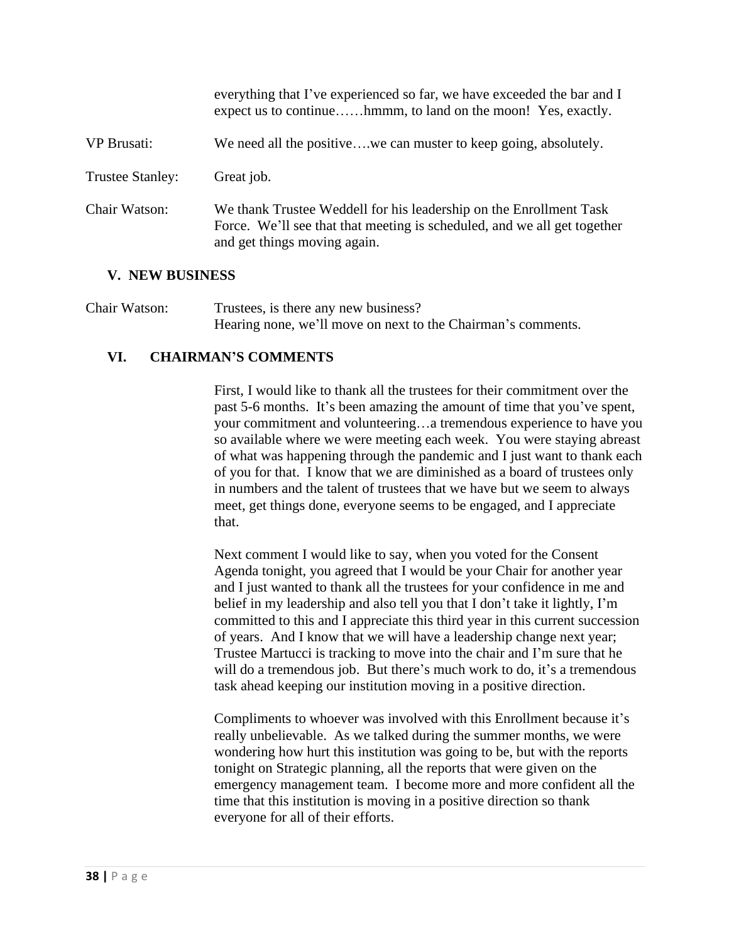everything that I've experienced so far, we have exceeded the bar and I expect us to continue……hmmm, to land on the moon! Yes, exactly. VP Brusati: We need all the positive….we can muster to keep going, absolutely. Trustee Stanley: Great job. Chair Watson: We thank Trustee Weddell for his leadership on the Enrollment Task Force. We'll see that that meeting is scheduled, and we all get together and get things moving again.

#### **V. NEW BUSINESS**

Chair Watson: Trustees, is there any new business? Hearing none, we'll move on next to the Chairman's comments.

# **VI. CHAIRMAN'S COMMENTS**

First, I would like to thank all the trustees for their commitment over the past 5-6 months. It's been amazing the amount of time that you've spent, your commitment and volunteering…a tremendous experience to have you so available where we were meeting each week. You were staying abreast of what was happening through the pandemic and I just want to thank each of you for that. I know that we are diminished as a board of trustees only in numbers and the talent of trustees that we have but we seem to always meet, get things done, everyone seems to be engaged, and I appreciate that.

Next comment I would like to say, when you voted for the Consent Agenda tonight, you agreed that I would be your Chair for another year and I just wanted to thank all the trustees for your confidence in me and belief in my leadership and also tell you that I don't take it lightly, I'm committed to this and I appreciate this third year in this current succession of years. And I know that we will have a leadership change next year; Trustee Martucci is tracking to move into the chair and I'm sure that he will do a tremendous job. But there's much work to do, it's a tremendous task ahead keeping our institution moving in a positive direction.

Compliments to whoever was involved with this Enrollment because it's really unbelievable. As we talked during the summer months, we were wondering how hurt this institution was going to be, but with the reports tonight on Strategic planning, all the reports that were given on the emergency management team. I become more and more confident all the time that this institution is moving in a positive direction so thank everyone for all of their efforts.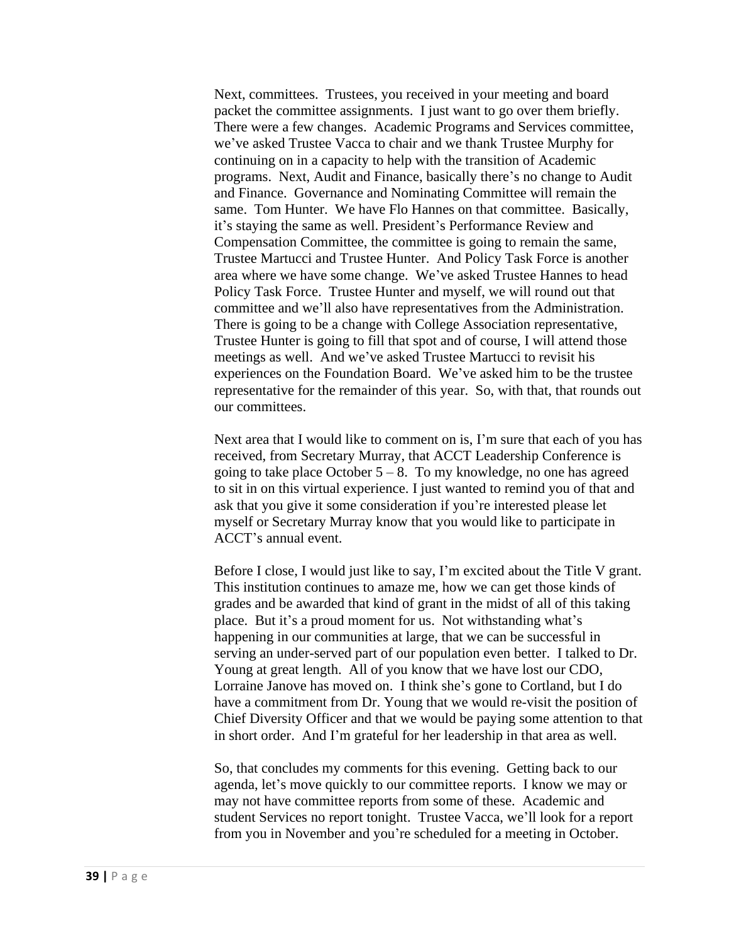Next, committees. Trustees, you received in your meeting and board packet the committee assignments. I just want to go over them briefly. There were a few changes. Academic Programs and Services committee, we've asked Trustee Vacca to chair and we thank Trustee Murphy for continuing on in a capacity to help with the transition of Academic programs. Next, Audit and Finance, basically there's no change to Audit and Finance. Governance and Nominating Committee will remain the same. Tom Hunter. We have Flo Hannes on that committee. Basically, it's staying the same as well. President's Performance Review and Compensation Committee, the committee is going to remain the same, Trustee Martucci and Trustee Hunter. And Policy Task Force is another area where we have some change. We've asked Trustee Hannes to head Policy Task Force. Trustee Hunter and myself, we will round out that committee and we'll also have representatives from the Administration. There is going to be a change with College Association representative, Trustee Hunter is going to fill that spot and of course, I will attend those meetings as well. And we've asked Trustee Martucci to revisit his experiences on the Foundation Board. We've asked him to be the trustee representative for the remainder of this year. So, with that, that rounds out our committees.

Next area that I would like to comment on is, I'm sure that each of you has received, from Secretary Murray, that ACCT Leadership Conference is going to take place October  $5 - 8$ . To my knowledge, no one has agreed to sit in on this virtual experience. I just wanted to remind you of that and ask that you give it some consideration if you're interested please let myself or Secretary Murray know that you would like to participate in ACCT's annual event.

Before I close, I would just like to say, I'm excited about the Title V grant. This institution continues to amaze me, how we can get those kinds of grades and be awarded that kind of grant in the midst of all of this taking place. But it's a proud moment for us. Not withstanding what's happening in our communities at large, that we can be successful in serving an under-served part of our population even better. I talked to Dr. Young at great length. All of you know that we have lost our CDO, Lorraine Janove has moved on. I think she's gone to Cortland, but I do have a commitment from Dr. Young that we would re-visit the position of Chief Diversity Officer and that we would be paying some attention to that in short order. And I'm grateful for her leadership in that area as well.

So, that concludes my comments for this evening. Getting back to our agenda, let's move quickly to our committee reports. I know we may or may not have committee reports from some of these. Academic and student Services no report tonight. Trustee Vacca, we'll look for a report from you in November and you're scheduled for a meeting in October.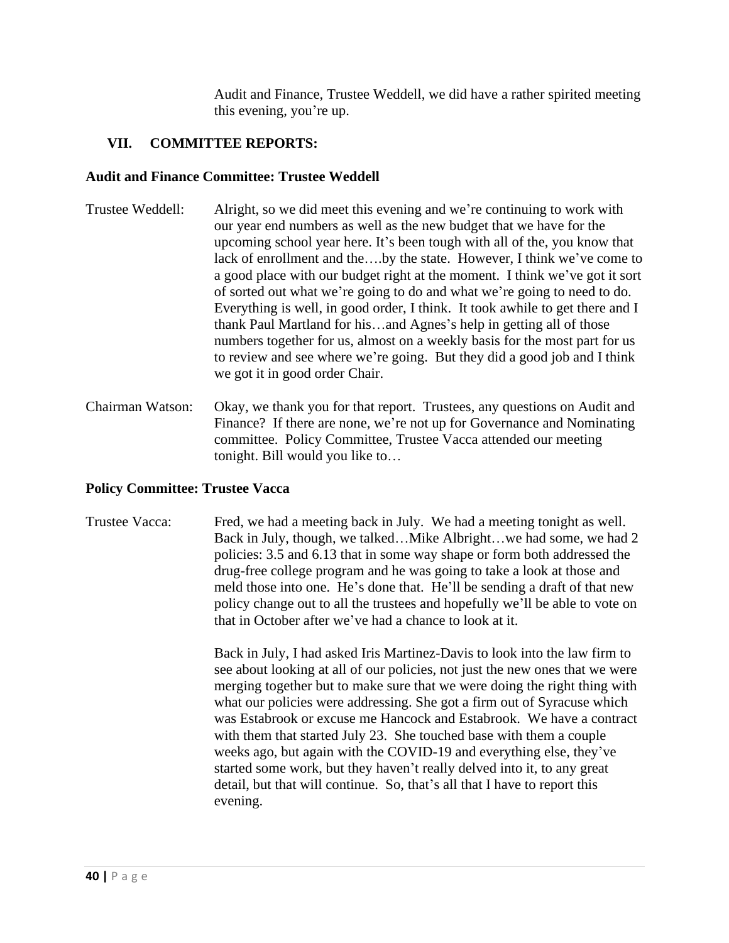Audit and Finance, Trustee Weddell, we did have a rather spirited meeting this evening, you're up.

# **VII. COMMITTEE REPORTS:**

#### **Audit and Finance Committee: Trustee Weddell**

- Trustee Weddell: Alright, so we did meet this evening and we're continuing to work with our year end numbers as well as the new budget that we have for the upcoming school year here. It's been tough with all of the, you know that lack of enrollment and the….by the state. However, I think we've come to a good place with our budget right at the moment. I think we've got it sort of sorted out what we're going to do and what we're going to need to do. Everything is well, in good order, I think. It took awhile to get there and I thank Paul Martland for his…and Agnes's help in getting all of those numbers together for us, almost on a weekly basis for the most part for us to review and see where we're going. But they did a good job and I think we got it in good order Chair.
- Chairman Watson: Okay, we thank you for that report. Trustees, any questions on Audit and Finance? If there are none, we're not up for Governance and Nominating committee. Policy Committee, Trustee Vacca attended our meeting tonight. Bill would you like to…

# **Policy Committee: Trustee Vacca**

Trustee Vacca: Fred, we had a meeting back in July. We had a meeting tonight as well. Back in July, though, we talked…Mike Albright…we had some, we had 2 policies: 3.5 and 6.13 that in some way shape or form both addressed the drug-free college program and he was going to take a look at those and meld those into one. He's done that. He'll be sending a draft of that new policy change out to all the trustees and hopefully we'll be able to vote on that in October after we've had a chance to look at it.

> Back in July, I had asked Iris Martinez-Davis to look into the law firm to see about looking at all of our policies, not just the new ones that we were merging together but to make sure that we were doing the right thing with what our policies were addressing. She got a firm out of Syracuse which was Estabrook or excuse me Hancock and Estabrook. We have a contract with them that started July 23. She touched base with them a couple weeks ago, but again with the COVID-19 and everything else, they've started some work, but they haven't really delved into it, to any great detail, but that will continue. So, that's all that I have to report this evening.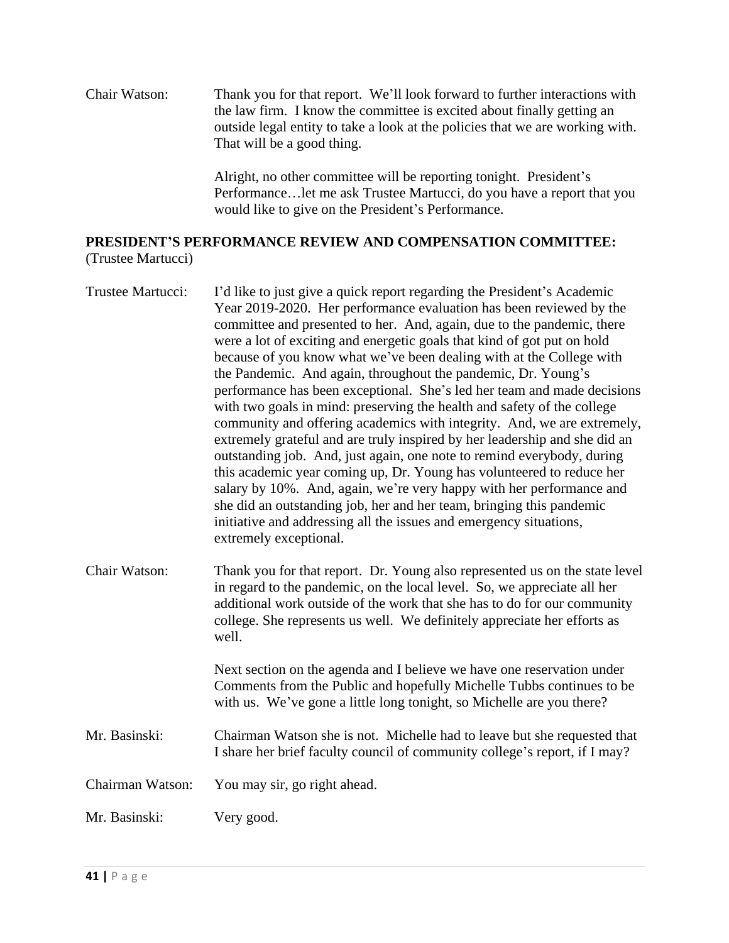Chair Watson: Thank you for that report. We'll look forward to further interactions with the law firm. I know the committee is excited about finally getting an outside legal entity to take a look at the policies that we are working with. That will be a good thing.

> Alright, no other committee will be reporting tonight. President's Performance…let me ask Trustee Martucci, do you have a report that you would like to give on the President's Performance.

# **PRESIDENT'S PERFORMANCE REVIEW AND COMPENSATION COMMITTEE:**

(Trustee Martucci)

| Trustee Martucci: | I'd like to just give a quick report regarding the President's Academic<br>Year 2019-2020. Her performance evaluation has been reviewed by the<br>committee and presented to her. And, again, due to the pandemic, there<br>were a lot of exciting and energetic goals that kind of got put on hold<br>because of you know what we've been dealing with at the College with<br>the Pandemic. And again, throughout the pandemic, Dr. Young's<br>performance has been exceptional. She's led her team and made decisions<br>with two goals in mind: preserving the health and safety of the college<br>community and offering academics with integrity. And, we are extremely,<br>extremely grateful and are truly inspired by her leadership and she did an<br>outstanding job. And, just again, one note to remind everybody, during<br>this academic year coming up, Dr. Young has volunteered to reduce her<br>salary by 10%. And, again, we're very happy with her performance and<br>she did an outstanding job, her and her team, bringing this pandemic<br>initiative and addressing all the issues and emergency situations,<br>extremely exceptional. |
|-------------------|----------------------------------------------------------------------------------------------------------------------------------------------------------------------------------------------------------------------------------------------------------------------------------------------------------------------------------------------------------------------------------------------------------------------------------------------------------------------------------------------------------------------------------------------------------------------------------------------------------------------------------------------------------------------------------------------------------------------------------------------------------------------------------------------------------------------------------------------------------------------------------------------------------------------------------------------------------------------------------------------------------------------------------------------------------------------------------------------------------------------------------------------------------------|
| Chair Watson:     | Thank you for that report. Dr. Young also represented us on the state level<br>in regard to the pandemic, on the local level. So, we appreciate all her<br>additional work outside of the work that she has to do for our community<br>college. She represents us well. We definitely appreciate her efforts as<br>well.                                                                                                                                                                                                                                                                                                                                                                                                                                                                                                                                                                                                                                                                                                                                                                                                                                       |
|                   | Next section on the agenda and I believe we have one reservation under<br>Comments from the Public and hopefully Michelle Tubbs continues to be<br>with us. We've gone a little long tonight, so Michelle are you there?                                                                                                                                                                                                                                                                                                                                                                                                                                                                                                                                                                                                                                                                                                                                                                                                                                                                                                                                       |
| Mr. Basinski:     | Chairman Watson she is not. Michelle had to leave but she requested that<br>I share her brief faculty council of community college's report, if I may?                                                                                                                                                                                                                                                                                                                                                                                                                                                                                                                                                                                                                                                                                                                                                                                                                                                                                                                                                                                                         |

Chairman Watson: You may sir, go right ahead.

Mr. Basinski: Very good.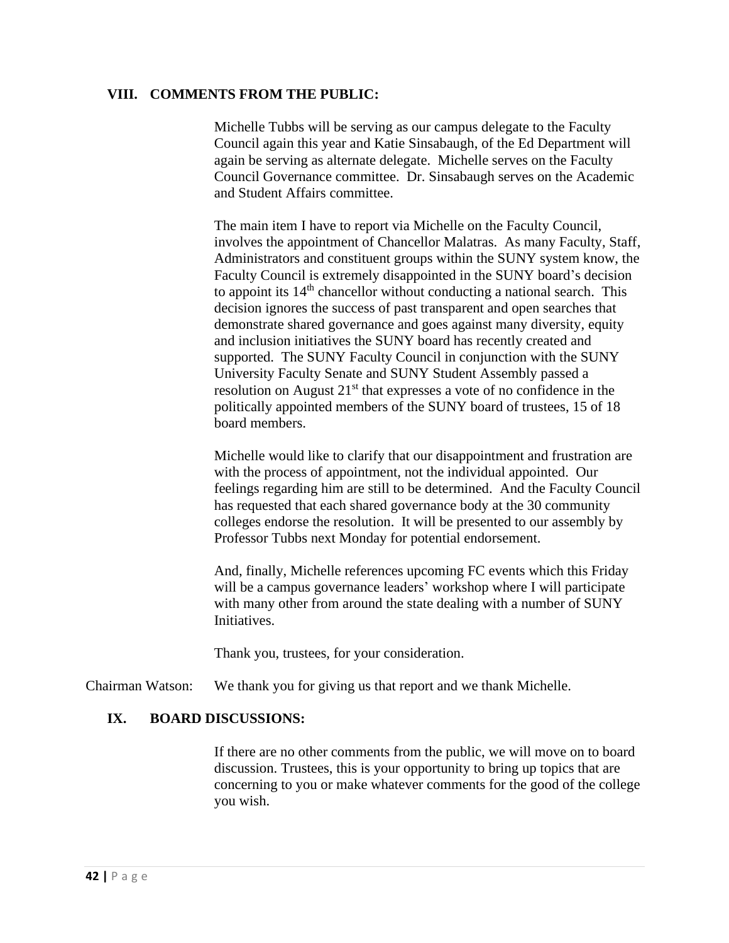#### **VIII. COMMENTS FROM THE PUBLIC:**

Michelle Tubbs will be serving as our campus delegate to the Faculty Council again this year and Katie Sinsabaugh, of the Ed Department will again be serving as alternate delegate. Michelle serves on the Faculty Council Governance committee. Dr. Sinsabaugh serves on the Academic and Student Affairs committee.

The main item I have to report via Michelle on the Faculty Council, involves the appointment of Chancellor Malatras. As many Faculty, Staff, Administrators and constituent groups within the SUNY system know, the Faculty Council is extremely disappointed in the SUNY board's decision to appoint its  $14<sup>th</sup>$  chancellor without conducting a national search. This decision ignores the success of past transparent and open searches that demonstrate shared governance and goes against many diversity, equity and inclusion initiatives the SUNY board has recently created and supported. The SUNY Faculty Council in conjunction with the SUNY University Faculty Senate and SUNY Student Assembly passed a resolution on August 21<sup>st</sup> that expresses a vote of no confidence in the politically appointed members of the SUNY board of trustees, 15 of 18 board members.

Michelle would like to clarify that our disappointment and frustration are with the process of appointment, not the individual appointed. Our feelings regarding him are still to be determined. And the Faculty Council has requested that each shared governance body at the 30 community colleges endorse the resolution. It will be presented to our assembly by Professor Tubbs next Monday for potential endorsement.

And, finally, Michelle references upcoming FC events which this Friday will be a campus governance leaders' workshop where I will participate with many other from around the state dealing with a number of SUNY Initiatives.

Thank you, trustees, for your consideration.

Chairman Watson: We thank you for giving us that report and we thank Michelle.

#### **IX. BOARD DISCUSSIONS:**

If there are no other comments from the public, we will move on to board discussion. Trustees, this is your opportunity to bring up topics that are concerning to you or make whatever comments for the good of the college you wish.